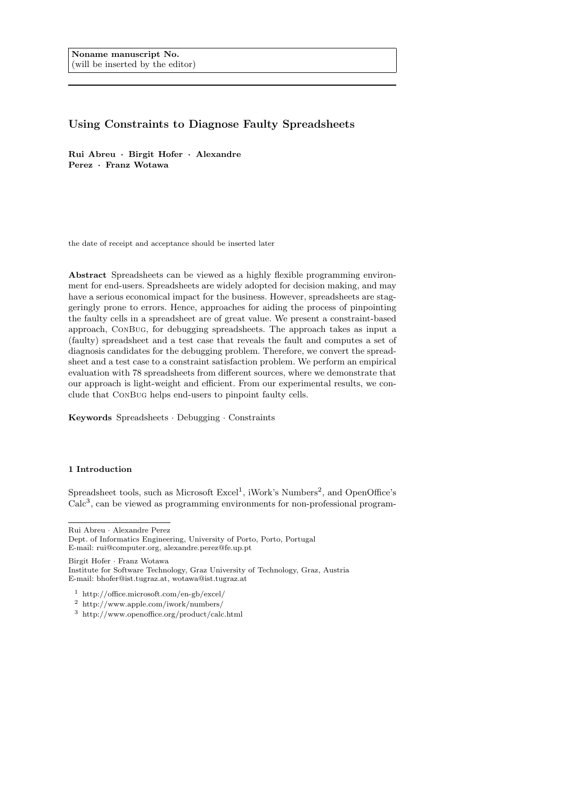# Using Constraints to Diagnose Faulty Spreadsheets

Rui Abreu · Birgit Hofer · Alexandre Perez · Franz Wotawa

the date of receipt and acceptance should be inserted later

Abstract Spreadsheets can be viewed as a highly flexible programming environment for end-users. Spreadsheets are widely adopted for decision making, and may have a serious economical impact for the business. However, spreadsheets are staggeringly prone to errors. Hence, approaches for aiding the process of pinpointing the faulty cells in a spreadsheet are of great value. We present a constraint-based approach, ConBug, for debugging spreadsheets. The approach takes as input a (faulty) spreadsheet and a test case that reveals the fault and computes a set of diagnosis candidates for the debugging problem. Therefore, we convert the spreadsheet and a test case to a constraint satisfaction problem. We perform an empirical evaluation with 78 spreadsheets from different sources, where we demonstrate that our approach is light-weight and efficient. From our experimental results, we conclude that ConBug helps end-users to pinpoint faulty cells.

Keywords Spreadsheets · Debugging · Constraints

## 1 Introduction

Spreadsheet tools, such as Microsoft  $\text{Excel}^1$ , iWork's Numbers<sup>2</sup>, and OpenOffice's  $Calc<sup>3</sup>$ , can be viewed as programming environments for non-professional program-

Rui Abreu · Alexandre Perez

Dept. of Informatics Engineering, University of Porto, Porto, Portugal E-mail: rui@computer.org, alexandre.perez@fe.up.pt

Birgit Hofer · Franz Wotawa

Institute for Software Technology, Graz University of Technology, Graz, Austria E-mail: bhofer@ist.tugraz.at, wotawa@ist.tugraz.at

<sup>1</sup> http://office.microsoft.com/en-gb/excel/

<sup>2</sup> http://www.apple.com/iwork/numbers/

<sup>3</sup> http://www.openoffice.org/product/calc.html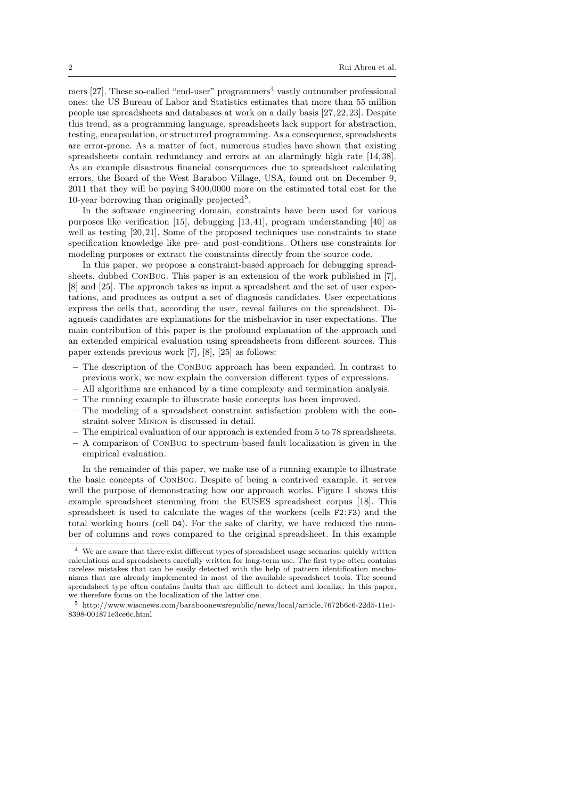mers  $[27]$ . These so-called "end-user" programmers<sup>4</sup> vastly outnumber professional ones: the US Bureau of Labor and Statistics estimates that more than 55 million people use spreadsheets and databases at work on a daily basis [27, 22, 23]. Despite this trend, as a programming language, spreadsheets lack support for abstraction, testing, encapsulation, or structured programming. As a consequence, spreadsheets are error-prone. As a matter of fact, numerous studies have shown that existing spreadsheets contain redundancy and errors at an alarmingly high rate [14, 38]. As an example disastrous financial consequences due to spreadsheet calculating errors, the Board of the West Baraboo Village, USA, found out on December 9, 2011 that they will be paying \$400,0000 more on the estimated total cost for the 10-year borrowing than originally projected<sup>5</sup>.

In the software engineering domain, constraints have been used for various purposes like verification [15], debugging [13, 41], program understanding [40] as well as testing [20,21]. Some of the proposed techniques use constraints to state specification knowledge like pre- and post-conditions. Others use constraints for modeling purposes or extract the constraints directly from the source code.

In this paper, we propose a constraint-based approach for debugging spreadsheets, dubbed ConBug. This paper is an extension of the work published in [7], [8] and [25]. The approach takes as input a spreadsheet and the set of user expectations, and produces as output a set of diagnosis candidates. User expectations express the cells that, according the user, reveal failures on the spreadsheet. Diagnosis candidates are explanations for the misbehavior in user expectations. The main contribution of this paper is the profound explanation of the approach and an extended empirical evaluation using spreadsheets from different sources. This paper extends previous work [7], [8], [25] as follows:

- The description of the ConBug approach has been expanded. In contrast to previous work, we now explain the conversion different types of expressions.
- All algorithms are enhanced by a time complexity and termination analysis.
- The running example to illustrate basic concepts has been improved.
- The modeling of a spreadsheet constraint satisfaction problem with the constraint solver Minion is discussed in detail.
- The empirical evaluation of our approach is extended from 5 to 78 spreadsheets.
- A comparison of ConBug to spectrum-based fault localization is given in the empirical evaluation.

In the remainder of this paper, we make use of a running example to illustrate the basic concepts of ConBug. Despite of being a contrived example, it serves well the purpose of demonstrating how our approach works. Figure 1 shows this example spreadsheet stemming from the EUSES spreadsheet corpus [18]. This spreadsheet is used to calculate the wages of the workers (cells F2:F3) and the total working hours (cell D4). For the sake of clarity, we have reduced the number of columns and rows compared to the original spreadsheet. In this example

<sup>4</sup> We are aware that there exist different types of spreadsheet usage scenarios: quickly written calculations and spreadsheets carefully written for long-term use. The first type often contains careless mistakes that can be easily detected with the help of pattern identification mechanisms that are already implemented in most of the available spreadsheet tools. The second spreadsheet type often contains faults that are difficult to detect and localize. In this paper, we therefore focus on the localization of the latter one.

 $^5\,$  http://www.wiscnews.com/baraboonewsrepublic/news/local/article\_7672b6c6-22d5-11e1-8398-001871e3ce6c.html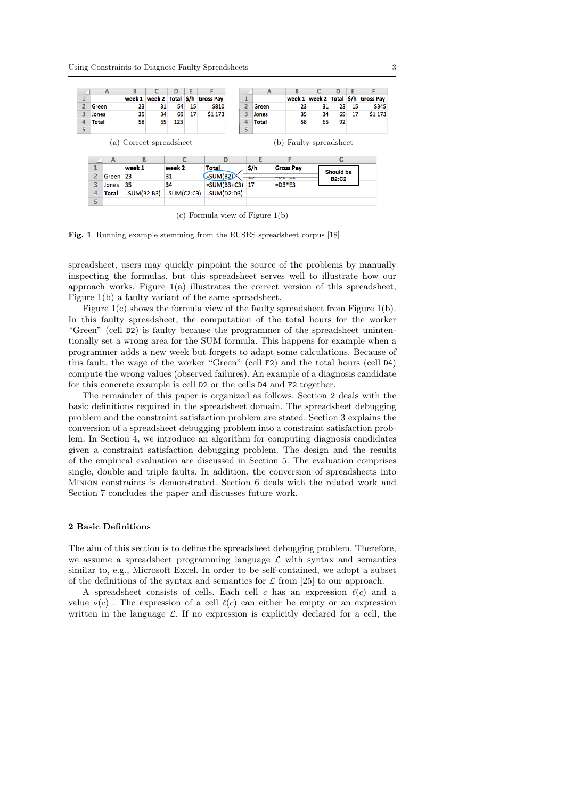|                | $\mathsf{A}$ | B                       |    | D             | E  | F                          |                | $\overline{A}$ | B                      | c                 | D            | Е  | F                |
|----------------|--------------|-------------------------|----|---------------|----|----------------------------|----------------|----------------|------------------------|-------------------|--------------|----|------------------|
|                |              | week 1                  |    |               |    | week 2 Total S/h Gross Pay |                |                | week 1                 | week 2 Total \$/h |              |    | <b>Gross Pay</b> |
|                | Green        | 23                      | 31 | 54            | 15 | \$810                      | $\overline{2}$ | Green          | 23                     | 31                | 23           | 15 | \$345            |
|                | Jones        | 35                      | 34 | 69            | 17 | \$1 173                    | 3              | Jones          | 35                     | 34                | 69           | 17 | \$1 173          |
|                | Total        | 58                      | 65 | 123           |    |                            | 4              | <b>Total</b>   | 58                     | 65                | 92           |    |                  |
|                |              |                         |    |               |    |                            | 5              |                |                        |                   |              |    |                  |
|                |              | (a) Correct spreadsheet |    |               |    |                            |                |                | (b) Faulty spreadsheet |                   |              |    |                  |
|                | A            | B                       |    |               |    | D                          |                | F              | F                      |                   | G            |    |                  |
| 1              |              | week 1                  |    | week 2        |    | Total                      |                | \$/h           | <b>Gross Pay</b>       |                   |              |    |                  |
| $\overline{2}$ | Green        | 23                      |    | 31            |    | $=SUM(B2)$                 | <b>COLOR</b>   |                | $-$                    |                   | Should be    |    |                  |
| 3              | Jones        | 35                      |    | 34            |    | $=SUM(B3+C3)$ 17           |                |                | $=$ D3*E3              |                   | <b>B2:C2</b> |    |                  |
| 4              | <b>Total</b> | $=SUM(B2:B3)$           |    | $=SUM(C2:C3)$ |    | $=SUM(D2:D3)$              |                |                |                        |                   |              |    |                  |

(c) Formula view of Figure 1(b)

Fig. 1 Running example stemming from the EUSES spreadsheet corpus [18]

spreadsheet, users may quickly pinpoint the source of the problems by manually inspecting the formulas, but this spreadsheet serves well to illustrate how our approach works. Figure  $1(a)$  illustrates the correct version of this spreadsheet, Figure 1(b) a faulty variant of the same spreadsheet.

Figure 1(c) shows the formula view of the faulty spreadsheet from Figure 1(b). In this faulty spreadsheet, the computation of the total hours for the worker "Green" (cell D2) is faulty because the programmer of the spreadsheet unintentionally set a wrong area for the SUM formula. This happens for example when a programmer adds a new week but forgets to adapt some calculations. Because of this fault, the wage of the worker "Green" (cell F2) and the total hours (cell D4) compute the wrong values (observed failures). An example of a diagnosis candidate for this concrete example is cell D2 or the cells D4 and F2 together.

The remainder of this paper is organized as follows: Section 2 deals with the basic definitions required in the spreadsheet domain. The spreadsheet debugging problem and the constraint satisfaction problem are stated. Section 3 explains the conversion of a spreadsheet debugging problem into a constraint satisfaction problem. In Section 4, we introduce an algorithm for computing diagnosis candidates given a constraint satisfaction debugging problem. The design and the results of the empirical evaluation are discussed in Section 5. The evaluation comprises single, double and triple faults. In addition, the conversion of spreadsheets into Minion constraints is demonstrated. Section 6 deals with the related work and Section 7 concludes the paper and discusses future work.

### 2 Basic Definitions

The aim of this section is to define the spreadsheet debugging problem. Therefore, we assume a spreadsheet programming language  $\mathcal L$  with syntax and semantics similar to, e.g., Microsoft Excel. In order to be self-contained, we adopt a subset of the definitions of the syntax and semantics for  $\mathcal L$  from [25] to our approach.

A spreadsheet consists of cells. Each cell c has an expression  $\ell(c)$  and a value  $\nu(c)$ . The expression of a cell  $\ell(c)$  can either be empty or an expression written in the language  $\mathcal{L}$ . If no expression is explicitly declared for a cell, the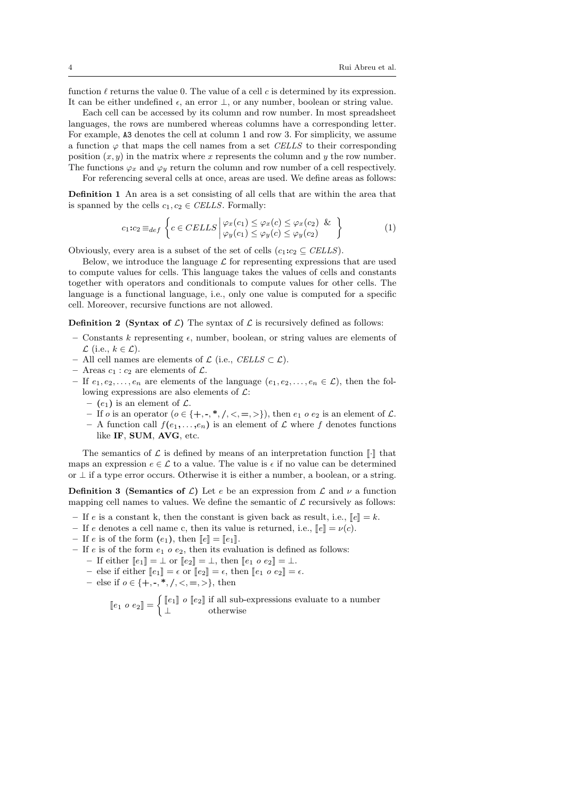function  $\ell$  returns the value 0. The value of a cell c is determined by its expression. It can be either undefined  $\epsilon$ , an error  $\bot$ , or any number, boolean or string value.

Each cell can be accessed by its column and row number. In most spreadsheet languages, the rows are numbered whereas columns have a corresponding letter. For example, A3 denotes the cell at column 1 and row 3. For simplicity, we assume a function  $\varphi$  that maps the cell names from a set CELLS to their corresponding position  $(x, y)$  in the matrix where x represents the column and y the row number. The functions  $\varphi_x$  and  $\varphi_y$  return the column and row number of a cell respectively.

For referencing several cells at once, areas are used. We define areas as follows: Definition 1 An area is a set consisting of all cells that are within the area that

is spanned by the cells  $c_1, c_2 \in \text{CELLS}$ . Formally:

$$
c_1:c_2 \equiv_{def} \left\{ c \in CELLS \middle| \begin{array}{l} \varphi_x(c_1) \leq \varphi_x(c) \leq \varphi_x(c_2) \& \\ \varphi_y(c_1) \leq \varphi_y(c) \leq \varphi_y(c_2) \end{array} \right\} \tag{1}
$$

Obviously, every area is a subset of the set of cells  $(c_1:c_2 \subseteq \text{CELLS})$ .

Below, we introduce the language  $\mathcal L$  for representing expressions that are used to compute values for cells. This language takes the values of cells and constants together with operators and conditionals to compute values for other cells. The language is a functional language, i.e., only one value is computed for a specific cell. Moreover, recursive functions are not allowed.

**Definition 2** (Syntax of  $\mathcal{L}$ ) The syntax of  $\mathcal{L}$  is recursively defined as follows:

- Constants k representing  $\epsilon$ , number, boolean, or string values are elements of  $\mathcal L$  (i.e.,  $k \in \mathcal L$ ).
- All cell names are elements of  $\mathcal{L}$  (i.e., CELLS ⊂  $\mathcal{L}$ ).
- Areas  $c_1$ :  $c_2$  are elements of  $\mathcal{L}$ .
- If  $e_1, e_2, \ldots, e_n$  are elements of the language  $(e_1, e_2, \ldots, e_n \in \mathcal{L})$ , then the following expressions are also elements of  $\mathcal{L}$ :
	- (e<sub>1</sub>) is an element of  $\mathcal{L}$ .
	- If o is an operator  $(o \in \{+, -, *, /, <, =, >\})$ , then  $e_1 \circ e_2$  is an element of  $\mathcal{L}$ .
	- A function call  $f(e_1, \ldots, e_n)$  is an element of  $\mathcal L$  where f denotes functions like IF, SUM, AVG, etc.

The semantics of  $\mathcal L$  is defined by means of an interpretation function  $\llbracket \cdot \rrbracket$  that maps an expression  $e \in \mathcal{L}$  to a value. The value is  $\epsilon$  if no value can be determined or  $\perp$  if a type error occurs. Otherwise it is either a number, a boolean, or a string.

**Definition 3 (Semantics of L)** Let e be an expression from L and  $\nu$  a function mapping cell names to values. We define the semantic of  $\mathcal L$  recursively as follows:

- If e is a constant k, then the constant is given back as result, i.e.,  $\llbracket e \rrbracket = k$ .
- If e denotes a cell name c, then its value is returned, i.e.,  $\llbracket e \rrbracket = v(c)$ .
- If e is of the form  $(e_1)$ , then  $\llbracket e \rrbracket = \llbracket e_1 \rrbracket$ .
- If e is of the form  $e_1$  o  $e_2$ , then its evaluation is defined as follows:
	- If either  $\llbracket e_1 \rrbracket = \bot$  or  $\llbracket e_2 \rrbracket = \bot$ , then  $\llbracket e_1 \circ e_2 \rrbracket = \bot$ .
	- else if either  $[\![e_1]\!] = \epsilon$  or  $[\![e_2]\!] = \epsilon$ , then  $[\![e_1 \ o \ e_2]\!] = \epsilon$ .
	- else if  $o \in \{+, -, *, /, <, =, >\},\$  then

 $\begin{bmatrix} e_1 & o & e_2 \end{bmatrix} = \begin{cases} \begin{bmatrix} e_1 \end{bmatrix} & o & \begin{bmatrix} e_2 \end{bmatrix} \text{ if all sub-expressions evaluate to a number} \\ \perp & \text{otherwise} \end{cases}$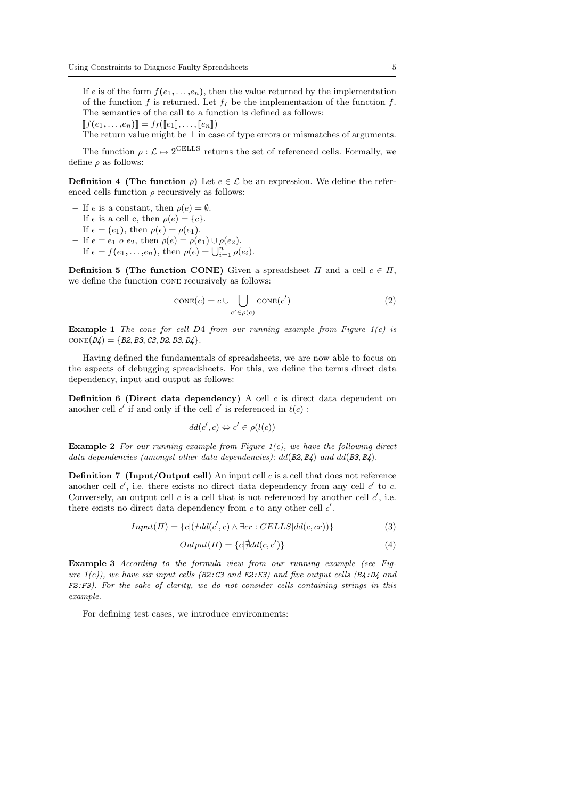- If e is of the form  $f(e_1, \ldots, e_n)$ , then the value returned by the implementation of the function f is returned. Let  $f_I$  be the implementation of the function f. The semantics of the call to a function is defined as follows:  $[[f(e_1, \ldots, e_n)]] = f_I([\![e_1]\!], \ldots, [\![e_n]\!])$ 
	- The return value might be  $\perp$  in case of type errors or mismatches of arguments.

The function  $\rho : \mathcal{L} \mapsto 2^{\text{CELS}}$  returns the set of referenced cells. Formally, we define ρ as follows:

**Definition 4** (The function  $\rho$ ) Let  $e \in \mathcal{L}$  be an expression. We define the referenced cells function  $\rho$  recursively as follows:

- If e is a constant, then  $\rho(e) = \emptyset$ .
- If e is a cell c, then  $\rho(e) = \{c\}.$
- If  $e = (e_1)$ , then  $\rho(e) = \rho(e_1)$ .
- If  $e = e_1 o e_2$ , then  $\rho(e) = \rho(e_1) \cup \rho(e_2)$ .

- If  $e = f(e_1, ..., e_n)$ , then  $\rho(e) = \bigcup_{i=1}^n \rho(e_i)$ .

**Definition 5 (The function CONE)** Given a spreadsheet  $\Pi$  and a cell  $c \in \Pi$ , we define the function cone recursively as follows:

$$
CONF(c) = c \cup \bigcup_{c' \in \rho(c)} \text{cone}(c')
$$
 (2)

**Example 1** The cone for cell D4 from our running example from Figure  $1(c)$  is  $CONF(D4) = \{B2, B3, C3, D2, D3, D4\}.$ 

Having defined the fundamentals of spreadsheets, we are now able to focus on the aspects of debugging spreadsheets. For this, we define the terms direct data dependency, input and output as follows:

**Definition 6 (Direct data dependency)** A cell  $c$  is direct data dependent on another cell c' if and only if the cell c' is referenced in  $\ell(c)$ :

$$
dd(c',c) \Leftrightarrow c' \in \rho(l(c))
$$

**Example 2** For our running example from Figure  $1(c)$ , we have the following direct data dependencies (amongst other data dependencies):  $dd(B2, B4)$  and  $dd(B3, B4)$ .

**Definition 7** (Input/Output cell) An input cell  $c$  is a cell that does not reference another cell  $c'$ , i.e. there exists no direct data dependency from any cell  $c'$  to  $c$ . Conversely, an output cell  $c$  is a cell that is not referenced by another cell  $c'$ , i.e. there exists no direct data dependency from  $c$  to any other cell  $c'$ .

 $Input(\Pi) = \{c | (\nexists dd(c', c) \land \exists cr : CELLS | dd(c, cr))\}$  (3)

$$
Output(\Pi) = \{c | \nexists dd(c, c')\} \tag{4}
$$

Example 3 According to the formula view from our running example (see Figure  $1(c)$ ), we have six input cells ( $B2: C3$  and  $E2: E3$ ) and five output cells ( $B4: D4$  and  $F2: F3$ ). For the sake of clarity, we do not consider cells containing strings in this example.

For defining test cases, we introduce environments: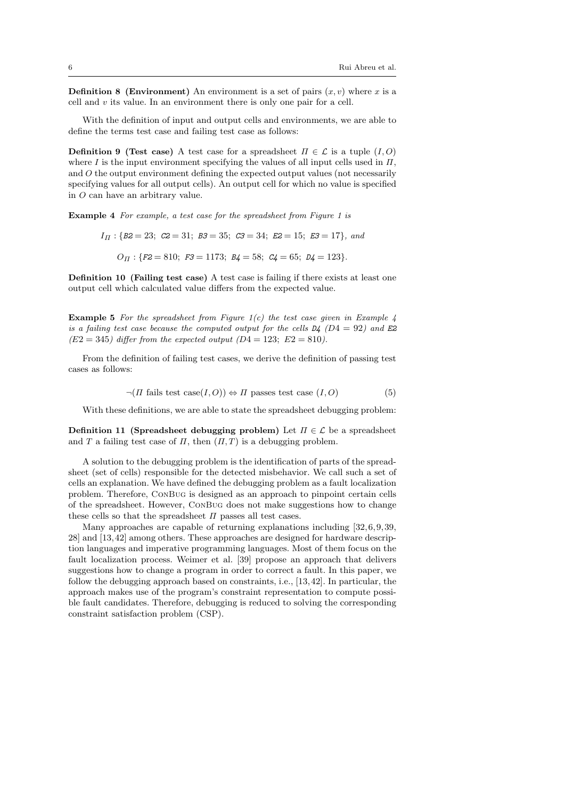**Definition 8 (Environment)** An environment is a set of pairs  $(x, v)$  where x is a cell and  $v$  its value. In an environment there is only one pair for a cell.

With the definition of input and output cells and environments, we are able to define the terms test case and failing test case as follows:

**Definition 9 (Test case)** A test case for a spreadsheet  $\Pi \in \mathcal{L}$  is a tuple  $(I, O)$ where I is the input environment specifying the values of all input cells used in  $\Pi$ , and O the output environment defining the expected output values (not necessarily specifying values for all output cells). An output cell for which no value is specified in O can have an arbitrary value.

Example 4 For example, a test case for the spreadsheet from Figure 1 is

 $I_{\Pi}$ : {B2 = 23; C2 = 31; B3 = 35; C3 = 34; E2 = 15; E3 = 17}, and

 $O_{\Pi}$ : {F2 = 810; F3 = 1173; B4 = 58; C4 = 65; D4 = 123}.

Definition 10 (Failing test case) A test case is failing if there exists at least one output cell which calculated value differs from the expected value.

**Example 5** For the spreadsheet from Figure  $1(c)$  the test case given in Example 4 is a failing test case because the computed output for the cells  $D4$  ( $D4 = 92$ ) and E2  $(E2 = 345)$  differ from the expected output  $(D4 = 123; E2 = 810)$ .

From the definition of failing test cases, we derive the definition of passing test cases as follows:

$$
\neg(\Pi \text{ fails test case}(I, O)) \Leftrightarrow \Pi \text{ passes test case}(I, O) \tag{5}
$$

With these definitions, we are able to state the spreadsheet debugging problem:

Definition 11 (Spreadsheet debugging problem) Let  $\Pi \in \mathcal{L}$  be a spreadsheet and T a failing test case of  $\Pi$ , then  $(\Pi, T)$  is a debugging problem.

A solution to the debugging problem is the identification of parts of the spreadsheet (set of cells) responsible for the detected misbehavior. We call such a set of cells an explanation. We have defined the debugging problem as a fault localization problem. Therefore, ConBug is designed as an approach to pinpoint certain cells of the spreadsheet. However, ConBug does not make suggestions how to change these cells so that the spreadsheet  $\Pi$  passes all test cases.

Many approaches are capable of returning explanations including [32,6, 9, 39, 28] and [13, 42] among others. These approaches are designed for hardware description languages and imperative programming languages. Most of them focus on the fault localization process. Weimer et al. [39] propose an approach that delivers suggestions how to change a program in order to correct a fault. In this paper, we follow the debugging approach based on constraints, i.e., [13,42]. In particular, the approach makes use of the program's constraint representation to compute possible fault candidates. Therefore, debugging is reduced to solving the corresponding constraint satisfaction problem (CSP).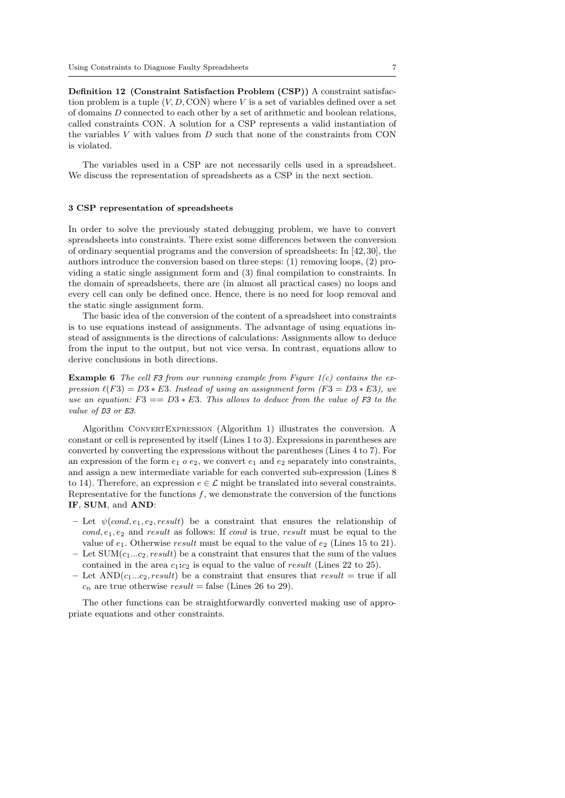Definition 12 (Constraint Satisfaction Problem (CSP)) A constraint satisfaction problem is a tuple  $(V, D, CON)$  where V is a set of variables defined over a set of domains D connected to each other by a set of arithmetic and boolean relations, called constraints CON. A solution for a CSP represents a valid instantiation of the variables V with values from D such that none of the constraints from CON is violated.

The variables used in a CSP are not necessarily cells used in a spreadsheet. We discuss the representation of spreadsheets as a CSP in the next section.

### 3 CSP representation of spreadsheets

In order to solve the previously stated debugging problem, we have to convert spreadsheets into constraints. There exist some differences between the conversion of ordinary sequential programs and the conversion of spreadsheets: In [42, 30], the authors introduce the conversion based on three steps: (1) removing loops, (2) providing a static single assignment form and (3) final compilation to constraints. In the domain of spreadsheets, there are (in almost all practical cases) no loops and every cell can only be defined once. Hence, there is no need for loop removal and the static single assignment form.

The basic idea of the conversion of the content of a spreadsheet into constraints is to use equations instead of assignments. The advantage of using equations instead of assignments is the directions of calculations: Assignments allow to deduce from the input to the output, but not vice versa. In contrast, equations allow to derive conclusions in both directions.

**Example 6** The cell F3 from our running example from Figure  $1(c)$  contains the expression  $\ell(F3) = D3 * E3$ . Instead of using an assignment form  $(F3 = D3 * E3)$ , we use an equation:  $F3 == D3 * E3$ . This allows to deduce from the value of F3 to the value of D3 or E3.

Algorithm ConvertExpression (Algorithm 1) illustrates the conversion. A constant or cell is represented by itself (Lines 1 to 3). Expressions in parentheses are converted by converting the expressions without the parentheses (Lines 4 to 7). For an expression of the form  $e_1$  o  $e_2$ , we convert  $e_1$  and  $e_2$  separately into constraints, and assign a new intermediate variable for each converted sub-expression (Lines 8 to 14). Therefore, an expression  $e \in \mathcal{L}$  might be translated into several constraints. Representative for the functions  $f$ , we demonstrate the conversion of the functions IF, SUM, and AND:

- Let  $\psi(cond, e_1, e_2, result)$  be a constraint that ensures the relationship of  $cond, e_1, e_2$  and result as follows: If cond is true, result must be equal to the value of  $e_1$ . Otherwise result must be equal to the value of  $e_2$  (Lines 15 to 21).
- Let  $SUM(c_1...c_2, result)$  be a constraint that ensures that the sum of the values contained in the area  $c_1:c_2$  is equal to the value of result (Lines 22 to 25).
- Let  $AND(c_1...c_2, result)$  be a constraint that ensures that result = true if all  $c_n$  are true otherwise  $result = false$  (Lines 26 to 29).

The other functions can be straightforwardly converted making use of appropriate equations and other constraints.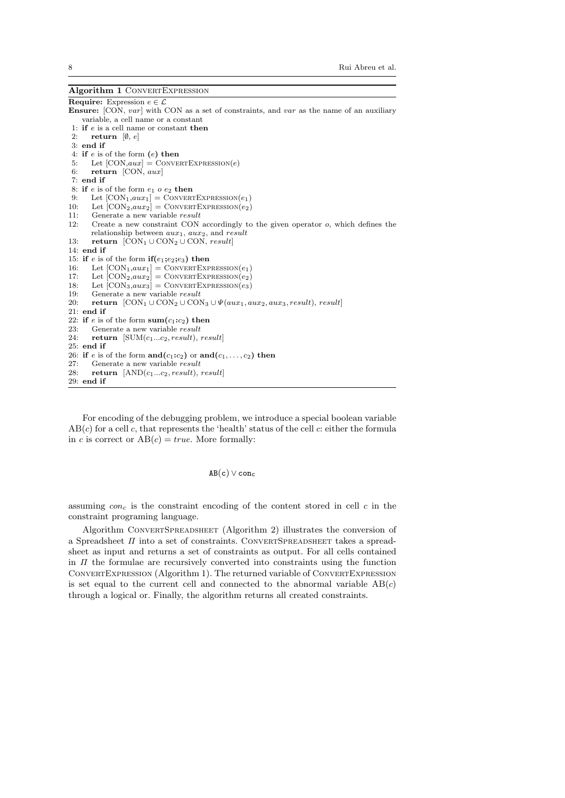## Algorithm 1 CONVERTEXPRESSION **Require:** Expression  $e \in \mathcal{L}$ Ensure: [CON, var] with CON as a set of constraints, and var as the name of an auxiliary variable, a cell name or a constant 1: if e is a cell name or constant then 2: return  $[\emptyset, e]$ 3: end if 4: if  $e$  is of the form  $(e)$  then 5: Let  $[CON, aux] = CONVERTEXPRESSION(e)$ 6: return [CON, aux] 7: end if 8: if  $e$  is of the form  $e_1$   $o$   $e_2$  then 9: Let  $[CON_1, aux_1] = CONVERTEXPRESSION(e_1)$ <br>10: Let  $[CON_2, aux_2] = CONVERTEXPRESSION(e_2)$ 10: Let  $[CON_2, aux_2] = CONVERTEXPRESSION(e_2)$ <br>11: Generate a new variable *result* Generate a new variable result 12: Create a new constraint CON accordingly to the given operator o, which defines the relationship between  $aux_1$ ,  $aux_2$ , and result 13: return  $[CON_1 \cup CON_2 \cup CON, result]$ 14: end if 15: if e is of the form  $if(e_1; e_2; e_3)$  then<br>16: Let  $[CON_1, aux_1] = CONVERTEXP$ 16: Let  $[CON_1, aux_1] = CONVERTEXPRESSION(e_1)$ <br>17: Let  $[CON_2, aux_2] = CONVERTEXPRESSION(e_2)$ Let  $[CON_2, aux_2] = CONVERTEXPRESSION(e_2)$ 18: Let  $[CON_3, aux_3] = CONVERTEXPRESSION(e_3)$ <br>19: Generate a new variable *result* Generate a new variable  $result$ 20: return  $[CON_1 \cup CON_2 \cup CON_3 \cup \Psi(aux_1, aux_2, aux_3, result), result]$ 21: end if 22: if e is of the form  $sum(c_1:c_2)$  then 23: Generate a new variable result 24: return  $[SUM(c_1...c_2, result), result]$ 25: end if 26: if e is of the form and  $(c_1:c_2)$  or and  $(c_1,\ldots,c_2)$  then 27: Generate a new variable result 28: return  $[AND(c_1...c_2, result), result]$  $29$ : end if

For encoding of the debugging problem, we introduce a special boolean variable  $AB(c)$  for a cell c, that represents the 'health' status of the cell c: either the formula in c is correct or  $AB(c) = true$ . More formally:

## $AB(c) \vee con_c$

assuming  $con_c$  is the constraint encoding of the content stored in cell c in the constraint programing language.

Algorithm ConvertSpreadsheet (Algorithm 2) illustrates the conversion of a Spreadsheet  $\Pi$  into a set of constraints. CONVERTSPREADSHEET takes a spreadsheet as input and returns a set of constraints as output. For all cells contained in  $\Pi$  the formulae are recursively converted into constraints using the function ConvertExpression (Algorithm 1). The returned variable of ConvertExpression is set equal to the current cell and connected to the abnormal variable  $AB(c)$ through a logical or. Finally, the algorithm returns all created constraints.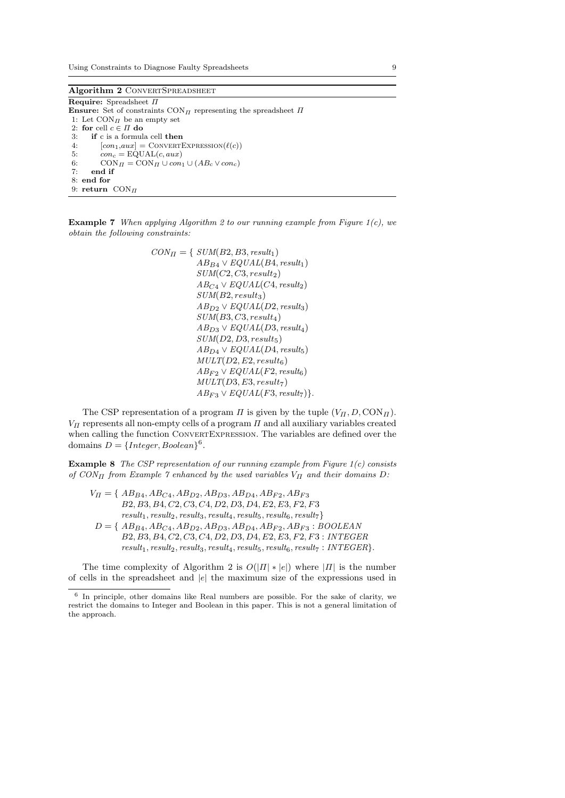Algorithm 2 CONVERTSPREADSHEET

Require: Spreadsheet Π **Ensure:** Set of constraints  $\text{CON}_\Pi$  representing the spreadsheet  $\Pi$ 1: Let  $\mathop{\rm CON}\nolimits_H$  be an empty set 2: for cell  $c \in \Pi$  do 3: if c is a formula cell then 4:  $[con_1, aux] = CONVERTEXPRESSION(\ell(c))$ <br>5:  $con_c = EQUAL(c, aux)$ 5:  $con_c = \text{EQUAL}(c, aux)$ <br>6:  $\text{CON}_{\Pi} = \text{CON}_{\Pi} \cup con$ 6:  $\text{CON}_\Pi = \text{CON}_\Pi \cup \text{con}_1 \cup (AB_c \vee \text{con}_c)$ <br>7: end if end if 8: end for 9: return  $\text{CON}_\Pi$ 

**Example 7** When applying Algorithm 2 to our running example from Figure 1(c), we obtain the following constraints:

$$
CON_{II} = \{ \text{ SUM}(B2, B3, result_1) \newline \text{AB}_{B4} \vee \text{EQUAL}(B4, result_1) \newline \text{SUM}(C2, C3, result_2) \newline \text{AB}_{C4} \vee \text{EQUAL}(C4, result_2) \newline \text{SUM}(B2, result_3) \newline \text{AB}_{D2} \vee \text{EQUAL}(D2, result_3) \newline \text{SUM}(B3, C3, result_4) \newline \text{AB}_{D3} \vee \text{EQUAL}(D3, result_4) \newline \text{SUM}(D2, D3, result_5) \newline \text{AB}_{D4} \vee \text{EQUAL}(D4, result_5) \newline \text{MD}_{T}(D2, E2, result_6) \newline \text{AB}_{F2} \vee \text{EQUAL}(F2, result_6) \newline \text{MULT}(D3, E3, result_7) \newline \text{AB}_{F3} \vee \text{EQUAL}(F3, result_7) \}
$$

The CSP representation of a program  $\Pi$  is given by the tuple  $(V_{\Pi}, D, \text{CON}_{\Pi})$ .  $V_{II}$  represents all non-empty cells of a program  $II$  and all auxiliary variables created when calling the function ConvertExpression. The variables are defined over the domains  $D = \{Integer, Boolean\}^6$ .

**Example 8** The CSP representation of our running example from Figure  $1(c)$  consists of  $CON_{\Pi}$  from Example 7 enhanced by the used variables  $V_{\Pi}$  and their domains D:

$$
V_{II} = \{ AB_{B4}, AB_{C4}, AB_{D2}, AB_{D3}, AB_{D4}, AB_{F2}, AB_{F3}
$$
  
\n
$$
B2, B3, B4, C2, C3, C4, D2, D3, D4, E2, E3, F2, F3
$$
  
\n
$$
result_1, result_2, result_3, result_4, result_5, result_6, result_7\}
$$
  
\n
$$
D = \{ AB_{B4}, AB_{C4}, AB_{D2}, AB_{D3}, AB_{D4}, AB_{F2}, AB_{F3} : BOOUEAN
$$
  
\n
$$
B2, B3, B4, C2, C3, C4, D2, D3, D4, E2, E3, F2, F3 : INTEGER
$$
  
\n
$$
result_1, result_2, result_3, result_4, result_5, result_6, result_7 : INTEGER\}.
$$

The time complexity of Algorithm 2 is  $O(|\Pi| * |e|)$  where  $|\Pi|$  is the number of cells in the spreadsheet and |e| the maximum size of the expressions used in

<sup>&</sup>lt;sup>6</sup> In principle, other domains like Real numbers are possible. For the sake of clarity, we restrict the domains to Integer and Boolean in this paper. This is not a general limitation of the approach.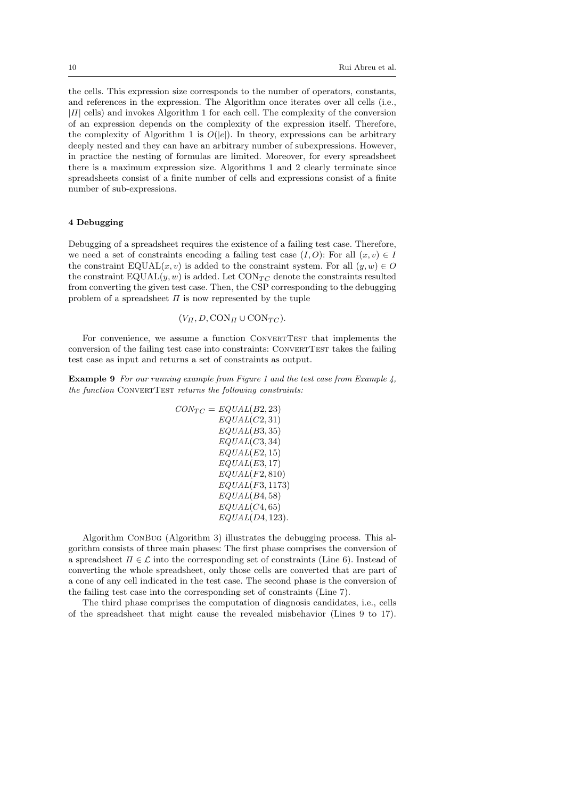the cells. This expression size corresponds to the number of operators, constants, and references in the expression. The Algorithm once iterates over all cells (i.e.,  $|II|$  cells) and invokes Algorithm 1 for each cell. The complexity of the conversion of an expression depends on the complexity of the expression itself. Therefore, the complexity of Algorithm 1 is  $O(|e|)$ . In theory, expressions can be arbitrary deeply nested and they can have an arbitrary number of subexpressions. However, in practice the nesting of formulas are limited. Moreover, for every spreadsheet there is a maximum expression size. Algorithms 1 and 2 clearly terminate since spreadsheets consist of a finite number of cells and expressions consist of a finite number of sub-expressions.

## 4 Debugging

Debugging of a spreadsheet requires the existence of a failing test case. Therefore, we need a set of constraints encoding a failing test case  $(I, O)$ : For all  $(x, v) \in I$ the constraint  $\text{EQUAL}(x, v)$  is added to the constraint system. For all  $(y, w) \in O$ the constraint  $\text{EQUAL}(y, w)$  is added. Let  $\text{CON}_{TC}$  denote the constraints resulted from converting the given test case. Then, the CSP corresponding to the debugging problem of a spreadsheet  $\Pi$  is now represented by the tuple

$$
(V_{\Pi}, D, \text{CON}_{\Pi} \cup \text{CON}_{TC}).
$$

For convenience, we assume a function CONVERTTEST that implements the conversion of the failing test case into constraints: CONVERTTEST takes the failing test case as input and returns a set of constraints as output.

Example 9 For our running example from Figure 1 and the test case from Example 4, the function CONVERTTEST returns the following constraints:

$$
CON_{TC} = EQUAL(B2, 23)
$$
  
\n
$$
EQUAL(C2, 31)
$$
  
\n
$$
EQUAL(B3, 35)
$$
  
\n
$$
EQUAL(C3, 34)
$$
  
\n
$$
EQUAL(E2, 15)
$$
  
\n
$$
EQUAL(E3, 17)
$$
  
\n
$$
EQUAL(F2, 810)
$$
  
\n
$$
EQUAL(F3, 1173)
$$
  
\n
$$
EQUAL(B4, 58)
$$
  
\n
$$
EQUAL(C4, 65)
$$
  
\n
$$
EQUAL(D4, 123)
$$
.

Algorithm ConBug (Algorithm 3) illustrates the debugging process. This algorithm consists of three main phases: The first phase comprises the conversion of a spreadsheet  $\Pi \in \mathcal{L}$  into the corresponding set of constraints (Line 6). Instead of converting the whole spreadsheet, only those cells are converted that are part of a cone of any cell indicated in the test case. The second phase is the conversion of the failing test case into the corresponding set of constraints (Line 7).

The third phase comprises the computation of diagnosis candidates, i.e., cells of the spreadsheet that might cause the revealed misbehavior (Lines 9 to 17).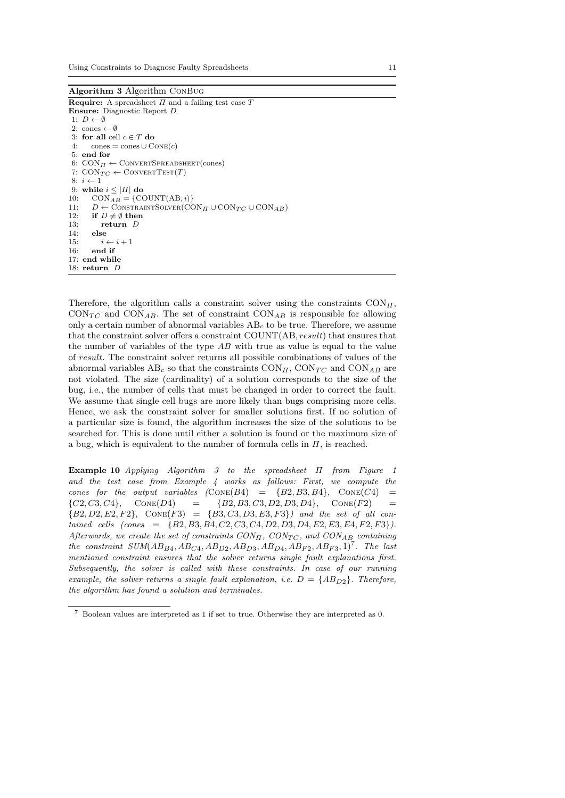Using Constraints to Diagnose Faulty Spreadsheets 11

Algorithm 3 Algorithm ConBug **Require:** A spreadsheet  $\Pi$  and a failing test case  $T$ Ensure: Diagnostic Report D 1:  $D \leftarrow \emptyset$ 2: cones  $\leftarrow \emptyset$ 3: for all cell  $c \in T$  do 4: cones = cones  $\cup$  CONE $(c)$ 5: end for 6:  $CON_{\Pi} \leftarrow CONVERTSPREADSHEET(cones)$ 7:  $CONF_C \leftarrow ConvERTEST(T)$  $8: i \leftarrow 1$ 9: while  $i \leq |H|$  do 10:  $CON_{AB} = \{COUNT(AB, i)\}$ <br>11:  $D \leftarrow \text{ConstrainTSOLVER}(CC)$ 11:  $D \leftarrow \text{CONTRAINTSOLVER}(\text{CON}_H \cup \text{CON}_{TC} \cup \text{CON}_{AB})$ <br>12: if  $D \neq \emptyset$  then if  $D \neq \emptyset$  then 13:  $return D$ <br>14:  $else$ 14: else<br>
15:  $i$  $i \leftarrow i + 1$ 16: end if 17: end while 18: return D

Therefore, the algorithm calls a constraint solver using the constraints  $\text{CON}_{\Pi}$ ,  $\text{CON}_{TC}$  and  $\text{CON}_{AB}$ . The set of constraint  $\text{CON}_{AB}$  is responsible for allowing only a certain number of abnormal variables  $AB<sub>c</sub>$  to be true. Therefore, we assume that the constraint solver offers a constraint COUNT(AB, result) that ensures that the number of variables of the type AB with true as value is equal to the value of result. The constraint solver returns all possible combinations of values of the abnormal variables  $AB_c$  so that the constraints  $\text{CON}_{II}$ ,  $\text{CON}_{TC}$  and  $\text{CON}_{AB}$  are not violated. The size (cardinality) of a solution corresponds to the size of the bug, i.e., the number of cells that must be changed in order to correct the fault. We assume that single cell bugs are more likely than bugs comprising more cells. Hence, we ask the constraint solver for smaller solutions first. If no solution of a particular size is found, the algorithm increases the size of the solutions to be searched for. This is done until either a solution is found or the maximum size of a bug, which is equivalent to the number of formula cells in  $\Pi$ , is reached.

Example 10 Applying Algorithm 3 to the spreadsheet Π from Figure 1 and the test case from Example 4 works as follows: First, we compute the cones for the output variables  $(Cone(B4) = {B2, B3, B4}$ ,  $Cone(C4) =$  $\{C2, C3, C4\}, \quad \text{Cone}(D4) = \{B2, B3, C3, D2, D3, D4\}, \quad \text{Cone}(F2) =$  ${B2, D2, E2, F2}, \text{Cone}(F3) = {B3, C3, D3, E3, F3}$  and the set of all con $tained \quad cells \quad (cones \quad = \quad \{B2, B3, B4, C2, C3, C4, D2, D3, D4, E2, E3, E4, F2, F3\}).$ Afterwards, we create the set of constraints  $CON_{\Pi}$ ,  $CON_{\Pi}$ ,  $CON_{\Pi}$  containing the constraint  $SUM(AB_{B4}, AB_{C4}, AB_{D2}, AB_{D3}, AB_{D4}, AB_{F2}, AB_{F3}, 1)^7$ . The last mentioned constraint ensures that the solver returns single fault explanations first. Subsequently, the solver is called with these constraints. In case of our running example, the solver returns a single fault explanation, i.e.  $D = \{AB_{D2}\}\$ . Therefore, the algorithm has found a solution and terminates.

<sup>7</sup> Boolean values are interpreted as 1 if set to true. Otherwise they are interpreted as 0.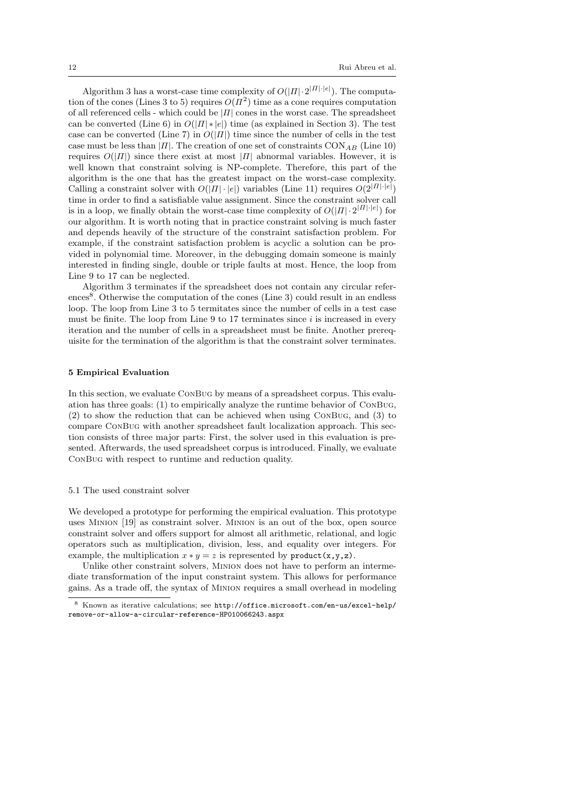Algorithm 3 has a worst-case time complexity of  $O(|\Pi| \cdot 2^{|\Pi| \cdot |\epsilon|})$ . The computation of the cones (Lines 3 to 5) requires  $O(\Pi^2)$  time as a cone requires computation of all referenced cells - which could be  $|II|$  cones in the worst case. The spreadsheet can be converted (Line 6) in  $O(|\Pi| * |e|)$  time (as explained in Section 3). The test case can be converted (Line 7) in  $O(|\Pi|)$  time since the number of cells in the test case must be less than |Π|. The creation of one set of constraints  $CON_{AB}$  (Line 10) requires  $O(|\Pi|)$  since there exist at most  $|\Pi|$  abnormal variables. However, it is well known that constraint solving is NP-complete. Therefore, this part of the algorithm is the one that has the greatest impact on the worst-case complexity. Calling a constraint solver with  $O(|\Pi|\cdot|e|)$  variables (Line 11) requires  $O(2^{|\Pi|\cdot|e|})$ time in order to find a satisfiable value assignment. Since the constraint solver call is in a loop, we finally obtain the worst-case time complexity of  $O(|\Pi| \cdot 2^{|\Pi| \cdot |e|})$  for our algorithm. It is worth noting that in practice constraint solving is much faster and depends heavily of the structure of the constraint satisfaction problem. For example, if the constraint satisfaction problem is acyclic a solution can be provided in polynomial time. Moreover, in the debugging domain someone is mainly interested in finding single, double or triple faults at most. Hence, the loop from Line 9 to 17 can be neglected.

Algorithm 3 terminates if the spreadsheet does not contain any circular references<sup>8</sup>. Otherwise the computation of the cones (Line 3) could result in an endless loop. The loop from Line 3 to 5 termitates since the number of cells in a test case must be finite. The loop from Line 9 to 17 terminates since  $i$  is increased in every iteration and the number of cells in a spreadsheet must be finite. Another prerequisite for the termination of the algorithm is that the constraint solver terminates.

### 5 Empirical Evaluation

In this section, we evaluate ConBug by means of a spreadsheet corpus. This evaluation has three goals: (1) to empirically analyze the runtime behavior of ConBug, (2) to show the reduction that can be achieved when using ConBug, and (3) to compare ConBug with another spreadsheet fault localization approach. This section consists of three major parts: First, the solver used in this evaluation is presented. Afterwards, the used spreadsheet corpus is introduced. Finally, we evaluate ConBug with respect to runtime and reduction quality.

#### 5.1 The used constraint solver

We developed a prototype for performing the empirical evaluation. This prototype uses Minion [19] as constraint solver. Minion is an out of the box, open source constraint solver and offers support for almost all arithmetic, relational, and logic operators such as multiplication, division, less, and equality over integers. For example, the multiplication  $x * y = z$  is represented by product(x,y,z).

Unlike other constraint solvers, Minion does not have to perform an intermediate transformation of the input constraint system. This allows for performance gains. As a trade off, the syntax of Minion requires a small overhead in modeling

<sup>8</sup> Known as iterative calculations; see http://office.microsoft.com/en-us/excel-help/ remove-or-allow-a-circular-reference-HP010066243.aspx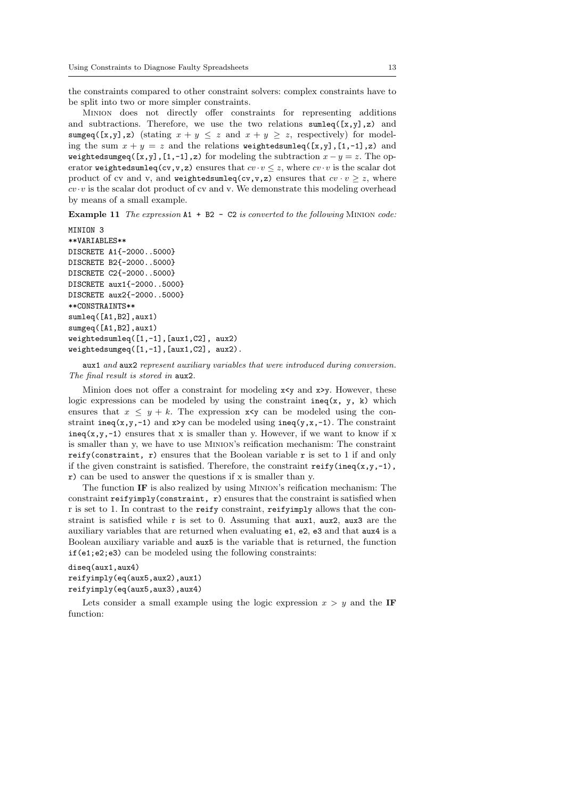the constraints compared to other constraint solvers: complex constraints have to be split into two or more simpler constraints.

Minion does not directly offer constraints for representing additions and subtractions. Therefore, we use the two relations sumleq( $[x,y]$ , $z$ ) and sumgeq([x,y],z) (stating  $x + y \leq z$  and  $x + y \geq z$ , respectively) for modeling the sum  $x + y = z$  and the relations weightedsumleq([x,y],[1,-1],z) and weightedsumgeq( $[x,y]$ , $[1,-1]$ ,z) for modeling the subtraction  $x - y = z$ . The operator weightedsumleq(cv,v,z) ensures that  $cv \cdot v \leq z$ , where  $cv \cdot v$  is the scalar dot product of cv and v, and weighted sumleq(cv,v,z) ensures that  $cv \cdot v \geq z$ , where  $cv \cdot v$  is the scalar dot product of cv and v. We demonstrate this modeling overhead by means of a small example.

Example 11 The expression  $A1 + B2 - C2$  is converted to the following MINION code:

```
MINION 3
**VARIABLES**
DISCRETE A1{-2000..5000}
DISCRETE B2{-2000..5000}
DISCRETE C2{-2000..5000}
DISCRETE aux1{-2000..5000}
DISCRETE aux2{-2000..5000}
**CONSTRAINTS**
sumleq([A1,B2],aux1)
sumgeq([A1,B2],aux1)
weightedsumleq([1,-1],[aux1,C2], aux2)
weightedsumgeq([1,-1],[aux1,C2], aux2).
```
aux1 and aux2 represent auxiliary variables that were introduced during conversion. The final result is stored in aux2.

Minion does not offer a constraint for modeling  $x \leq y$  and  $x \geq y$ . However, these logic expressions can be modeled by using the constraint ineq(x, y, k) which ensures that  $x \leq y + k$ . The expression  $x \leq y$  can be modeled using the constraint ineq(x,y,-1) and x>y can be modeled using ineq(y,x,-1). The constraint ineq(x,y,-1) ensures that x is smaller than y. However, if we want to know if x is smaller than y, we have to use Minion's reification mechanism: The constraint reify(constraint, r) ensures that the Boolean variable r is set to 1 if and only if the given constraint is satisfied. Therefore, the constraint  $\text{reify}(ineq(x,y,-1))$ , r) can be used to answer the questions if x is smaller than y.

The function IF is also realized by using Minion's reification mechanism: The constraint reifyimply(constraint, r) ensures that the constraint is satisfied when r is set to 1. In contrast to the reify constraint, reifyimply allows that the constraint is satisfied while r is set to 0. Assuming that aux1, aux2, aux3 are the auxiliary variables that are returned when evaluating e1, e2, e3 and that aux4 is a Boolean auxiliary variable and aux5 is the variable that is returned, the function if(e1;e2;e3) can be modeled using the following constraints:

## diseq(aux1,aux4) reifyimply(eq(aux5,aux2),aux1) reifyimply(eq(aux5,aux3),aux4)

Lets consider a small example using the logic expression  $x > y$  and the IF function: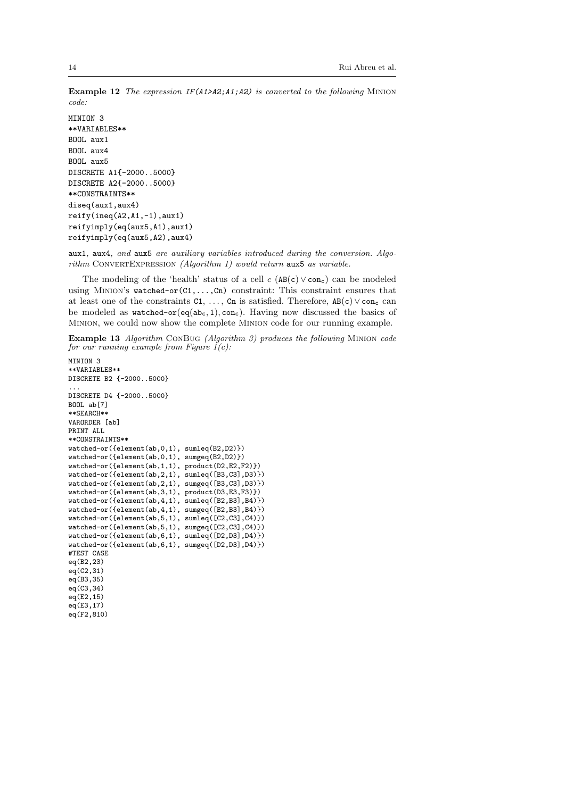Example 12 The expression IF(A1>A2;A1;A2) is converted to the following MINION code:

MINION 3 \*\*VARIABLES\*\* BOOL aux1 BOOL aux4 BOOL aux5 DISCRETE A1{-2000..5000} DISCRETE A2{-2000..5000} \*\*CONSTRAINTS\*\* diseq(aux1,aux4) reify(ineq(A2,A1,-1),aux1) reifyimply(eq(aux5,A1),aux1) reifyimply(eq(aux5,A2),aux4)

aux1, aux4, and aux5 are auxiliary variables introduced during the conversion. Algo $rithm$  CONVERTEXPRESSION (Algorithm 1) would return aux5 as variable.

The modeling of the 'health' status of a cell  $c \text{ (AB(c) } \vee \text{ con}_c)$  can be modeled using Minion's watched-or(C1,...,Cn) constraint: This constraint ensures that at least one of the constraints  $C1, \ldots, Cn$  is satisfied. Therefore,  $AB(c) \vee con_c$  can be modeled as watched-or( $eq(abc, 1)$ , con<sub>c</sub>). Having now discussed the basics of Minion, we could now show the complete Minion code for our running example.

Example 13 Algorithm ConBug (Algorithm 3) produces the following Minion code for our running example from Figure  $1(c)$ :

```
MINION 3
**VARIABLES**
DISCRETE B2 {-2000..5000}
...
DISCRETE D4 {-2000..5000}
BOOL ab<sup>[7]</sup>
**SEARCH**
VARORDER [ab]
PRINT ALL
**CONSTRAINTS**
watched-or({element(ab,0,1), sumleq(B2,D2)})
watched-or({element(ab,0,1), sumgeq(B2,D2)})
watched-or({element(ab,1,1), product(D2,E2,F2)})
watched-or({element(ab,2,1), sumleq([B3,C3],D3)})
watched-or({element(ab,2,1), sumgeq([B3,C3],D3)})
watched-or({element(ab,3,1), product(D3,E3,F3)})
watched-or({element(ab,4,1), sumleq([B2,B3],B4)})
watched-or({element(ab,4,1), sumgeq([B2,B3],B4)})
watched-or({element(ab,5,1), sumleq([C2,C3],C4)})
watched-or({element(ab,5,1), sumgeq([C2,C3],C4)})
watched-or({element(ab,6,1), sumleq([D2,D3],D4)})
watched-or({element(ab,6,1), sumgeq([D2,D3],D4)})
#TEST CASE
eq(B2,23)
eq(C2,31)
eq(B3,35)
eq(C3, 34)eq(E2,15)
eq(E3,17)
eq(F2,810)
```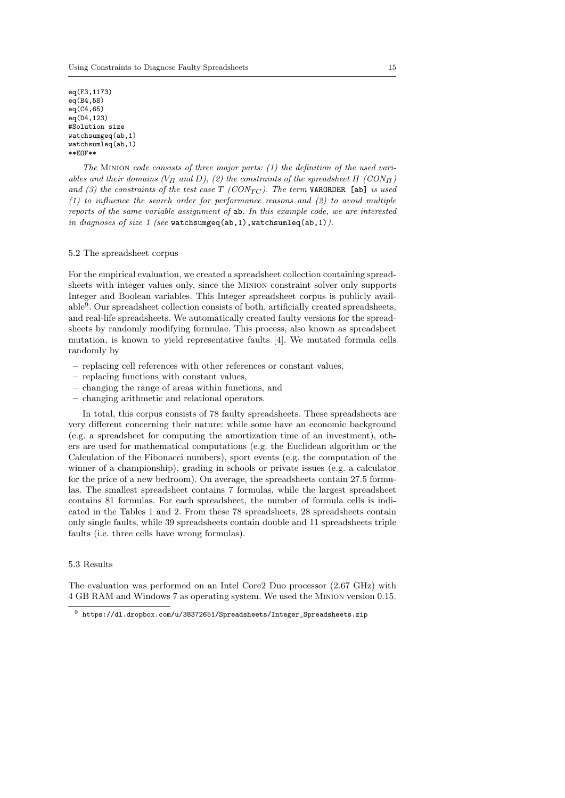eq(F3,1173) eq(B4,58)  $eq(C4, 65)$ eq(D4,123) #Solution size watchsumgeq(ab,1) watchsumleq(ab,1) \*\*EOF\*\*

The MINION code consists of three major parts:  $(1)$  the definition of the used variables and their domains ( $V_{\Pi}$  and D), (2) the constraints of the spreadsheet  $\Pi$  (CON $_{\Pi}$ ) and (3) the constraints of the test case  $T$  (CON<sub>TC</sub>). The term VARORDER [ab] is used (1) to influence the search order for performance reasons and (2) to avoid multiple reports of the same variable assignment of ab. In this example code, we are interested in diagnoses of size 1 (see watchsumgeq(ab, 1), watchsumleq(ab, 1)).

### 5.2 The spreadsheet corpus

For the empirical evaluation, we created a spreadsheet collection containing spreadsheets with integer values only, since the Minion constraint solver only supports Integer and Boolean variables. This Integer spreadsheet corpus is publicly available<sup>9</sup>. Our spreadsheet collection consists of both, artificially created spreadsheets, and real-life spreadsheets. We automatically created faulty versions for the spreadsheets by randomly modifying formulae. This process, also known as spreadsheet mutation, is known to yield representative faults [4]. We mutated formula cells randomly by

- replacing cell references with other references or constant values,
- replacing functions with constant values,
- changing the range of areas within functions, and
- changing arithmetic and relational operators.

In total, this corpus consists of 78 faulty spreadsheets. These spreadsheets are very different concerning their nature: while some have an economic background (e.g. a spreadsheet for computing the amortization time of an investment), others are used for mathematical computations (e.g. the Euclidean algorithm or the Calculation of the Fibonacci numbers), sport events (e.g. the computation of the winner of a championship), grading in schools or private issues (e.g. a calculator for the price of a new bedroom). On average, the spreadsheets contain 27.5 formulas. The smallest spreadsheet contains 7 formulas, while the largest spreadsheet contains 81 formulas. For each spreadsheet, the number of formula cells is indicated in the Tables 1 and 2. From these 78 spreadsheets, 28 spreadsheets contain only single faults, while 39 spreadsheets contain double and 11 spreadsheets triple faults (i.e. three cells have wrong formulas).

## 5.3 Results

The evaluation was performed on an Intel Core2 Duo processor (2.67 GHz) with 4 GB RAM and Windows 7 as operating system. We used the Minion version 0.15.

 $^9\,$ https://dl.dropbox.com/u/38372651/Spreadsheets/Integer\_Spreadsheets.zip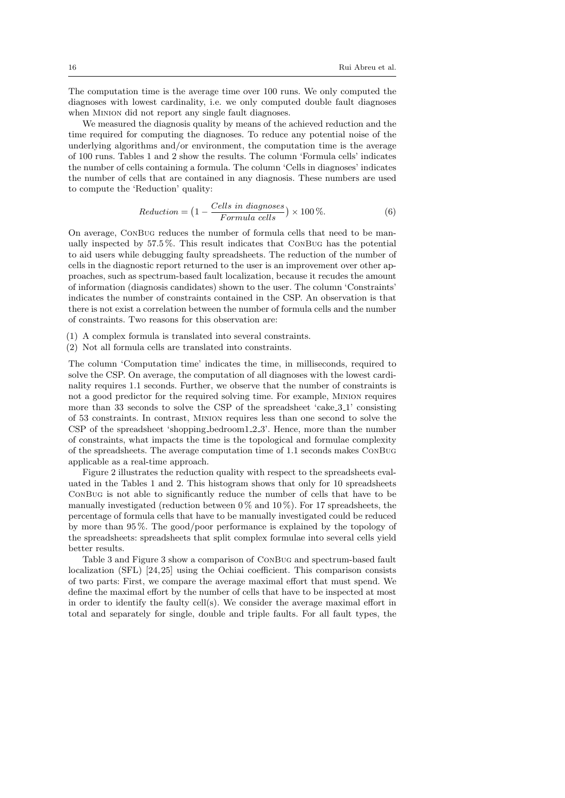The computation time is the average time over 100 runs. We only computed the diagnoses with lowest cardinality, i.e. we only computed double fault diagnoses when MINION did not report any single fault diagnoses.

We measured the diagnosis quality by means of the achieved reduction and the time required for computing the diagnoses. To reduce any potential noise of the underlying algorithms and/or environment, the computation time is the average of 100 runs. Tables 1 and 2 show the results. The column 'Formula cells' indicates the number of cells containing a formula. The column 'Cells in diagnoses' indicates the number of cells that are contained in any diagnosis. These numbers are used to compute the 'Reduction' quality:

$$
Reduction = \left(1 - \frac{Cells \ in \ diagnoses}{Formula \ cells}\right) \times 100\,\%.\tag{6}
$$

On average, ConBug reduces the number of formula cells that need to be manually inspected by 57.5 %. This result indicates that ConBug has the potential to aid users while debugging faulty spreadsheets. The reduction of the number of cells in the diagnostic report returned to the user is an improvement over other approaches, such as spectrum-based fault localization, because it recudes the amount of information (diagnosis candidates) shown to the user. The column 'Constraints' indicates the number of constraints contained in the CSP. An observation is that there is not exist a correlation between the number of formula cells and the number of constraints. Two reasons for this observation are:

- (1) A complex formula is translated into several constraints.
- (2) Not all formula cells are translated into constraints.

The column 'Computation time' indicates the time, in milliseconds, required to solve the CSP. On average, the computation of all diagnoses with the lowest cardinality requires 1.1 seconds. Further, we observe that the number of constraints is not a good predictor for the required solving time. For example, Minion requires more than 33 seconds to solve the CSP of the spreadsheet 'cake  $-3.1$ ' consisting of 53 constraints. In contrast, Minion requires less than one second to solve the CSP of the spreadsheet 'shopping\_bedroom1\_2\_3'. Hence, more than the number of constraints, what impacts the time is the topological and formulae complexity of the spreadsheets. The average computation time of 1.1 seconds makes ConBug applicable as a real-time approach.

Figure 2 illustrates the reduction quality with respect to the spreadsheets evaluated in the Tables 1 and 2. This histogram shows that only for 10 spreadsheets ConBug is not able to significantly reduce the number of cells that have to be manually investigated (reduction between  $0\%$  and  $10\%$ ). For 17 spreadsheets, the percentage of formula cells that have to be manually investigated could be reduced by more than 95 %. The good/poor performance is explained by the topology of the spreadsheets: spreadsheets that split complex formulae into several cells yield better results.

Table 3 and Figure 3 show a comparison of ConBug and spectrum-based fault localization (SFL) [24, 25] using the Ochiai coefficient. This comparison consists of two parts: First, we compare the average maximal effort that must spend. We define the maximal effort by the number of cells that have to be inspected at most in order to identify the faulty cell(s). We consider the average maximal effort in total and separately for single, double and triple faults. For all fault types, the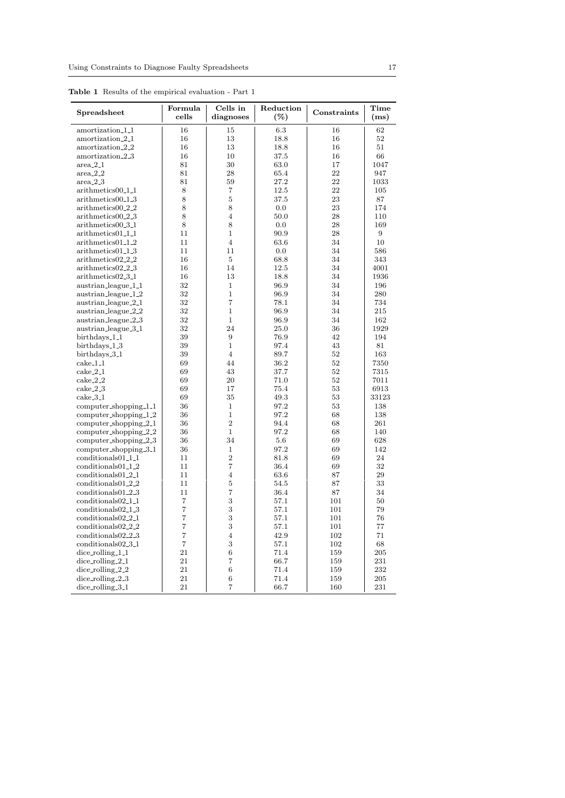| Spreadsheet                        | Formula<br>cells | Cells in<br>diagnoses | Reduction<br>$(\%)$ | Constraints | Time<br>(ms) |
|------------------------------------|------------------|-----------------------|---------------------|-------------|--------------|
| amortization_1_1                   | 16               | 15                    | 6.3                 | 16          | 62           |
| amortization <sub>-2-1</sub>       | 16               | 13                    | 18.8                | 16          | 52           |
| amortization_2_2                   | 16               | 13                    | 18.8                | 16          | 51           |
| amortization_2_3                   | 16               | 10                    | 37.5                | 16          | 66           |
| $area_{-2-1}$                      | 81               | 30                    | 63.0                | 17          | 1047         |
| $area_2_2$                         | 81               | 28                    | 65.4                | 22          | 947          |
| $area_2_3$                         | 81               | 59                    | 27.2                | 22          | 1033         |
| arithmetics00 <sub>-1-1</sub>      | 8                | $\overline{7}$        | 12.5                | 22          | 105          |
| arithmetics00 <sub>-1-3</sub>      | 8                | $\overline{5}$        | 37.5                | 23          | 87           |
| arithmetics00 <sub>-2-2</sub>      | 8                | 8                     | 0.0                 | 23          | 174          |
| arithmetics00 <sub>-2-3</sub>      | 8                | $\overline{4}$        | 50.0                | 28          | 110          |
| arithmetics00 <sub>-3-1</sub>      | 8                | 8                     | 0.0                 | 28          | 169          |
| arithmetics01 <sub>-1-1</sub>      | 11               | $\mathbf{1}$          | 90.9                | 28          | 9            |
| arithmetics01_1_2                  | 11               | $\overline{4}$        | 63.6                | 34          | 10           |
| arithmetics01_1_3                  | 11               | 11                    | 0.0                 | 34          | 586          |
| arithmetics02 <sub>-2-2</sub>      | 16               | $\overline{5}$        | 68.8                | 34          | 343          |
| arithmetics02_2_3                  | 16               | 14                    | 12.5                | 34          | 4001         |
| arithmetics02_3_1                  | 16               | 13                    | 18.8                | 34          | 1936         |
| austrian_league_1_1                | 32               | $\mathbf{1}$          | 96.9                | 34          | 196          |
| austrian_league_1_2                | 32               | $\mathbf{1}$          | 96.9                | 34          | 280          |
| austrian_league_2_1                | 32               | $\overline{7}$        | 78.1                | 34          | 734          |
| austrian_league_2_2                | 32               | $\mathbf{1}$          | 96.9                | 34          | 215          |
| austrian_league_2_3                | 32               | $\mathbf{1}$          | 96.9                | 34          | 162          |
| austrian_league_3_1                | 32               | 24                    | 25.0                | 36          | 1929         |
| birthdays_1_1                      | 39               | 9                     | 76.9                | 42          | 194          |
| birthdays_1_3                      | 39               | $\mathbf{1}$          | 97.4                | 43          | 81           |
| birthdays_3_1                      | 39               | $\overline{4}$        | 89.7                | 52          | 163          |
| $\operatorname{cache\_1\_1}$       | 69               | 44                    | 36.2                | 52          | 7350         |
| $\operatorname{cake}\nolimits 2.1$ | 69               | 43                    | 37.7                | 52          | 7315         |
| $\operatorname{cake}\nolimits_22$  | 69               | 20                    | 71.0                | 52          | 7011         |
| $\operatorname{cake\_2\_3}$        | 69               | 17                    | 75.4                | 53          | 6913         |
| $\operatorname{cake\_3\_1}$        | 69               | 35                    | 49.3                | 53          | 33123        |
| $computer_s$ hopping_1_1           | 36               | $\mathbf{1}$          | 97.2                | 53          | 138          |
| computer_shopping_1_2              | 36               | $\mathbf{1}$          | 97.2                | 68          | 138          |
| computer_shopping_2_1              | 36               | $\overline{2}$        | 94.4                | 68          | 261          |
| computer_shopping_2_2              | 36               | $\mathbf{1}$          | 97.2                | 68          | 140          |
| $computer_s$ hopping $2.3$         | 36               | 34                    | 5.6                 | 69          | 628          |
| $computer_s$ hopping_3_1           | 36               | $\mathbf 1$           | 97.2                | 69          | 142          |
| conditionals01 <sub>-1-1</sub>     | 11               | $\overline{2}$        | 81.8                | 69          | 24           |
| conditionals01 <sub>-1-2</sub>     | 11               | $\overline{7}$        | 36.4                | 69          | 32           |
| conditionals01_2_1                 | 11               | $\overline{4}$        | 63.6                | 87          | 29           |
| conditionals01_2_2                 | 11               | 5                     | 54.5                | 87          | 33           |
| conditionals01 <sub>-2-3</sub>     | 11               | $\overline{7}$        | 36.4                | 87          | 34           |
| conditionals02 <sub>-1-1</sub>     | $\overline{7}$   | 3                     | 57.1                | 101         | 50           |
| $conditions02_13$                  | $\overline{7}$   | 3                     | 57.1                | 101         | 79           |
| conditionals02 <sub>-2-1</sub>     | $\overline{7}$   | 3                     | 57.1                | 101         | 76           |
| conditionals02 <sub>-2-2</sub>     | $\overline{7}$   | 3                     | 57.1                | 101         | 77           |
| conditionals02 <sub>-2-3</sub>     | $\overline{7}$   | $\overline{4}$        | 42.9                | 102         | 71           |
| conditionals02_3_1                 | $\overline{7}$   | 3                     | 57.1                | 102         | 68           |
| dice_rolling_1_1                   | 21               | 6                     | 71.4                | 159         | 205          |
| $dice\_rolling_2_1$                | 21               | $\overline{7}$        | 66.7                | 159         | 231          |
| $dice\_rolling_2_2$                | 21               | $\,$ 6 $\,$           | 71.4                | 159         | 232          |
| $dice\_rolling_2_3$                | 21               | 6                     | 71.4                | 159         | 205          |
| dice_rolling_3_1                   | 21               | $\overline{7}$        | 66.7                | 160         | 231          |
|                                    |                  |                       |                     |             |              |

Table 1 Results of the empirical evaluation - Part 1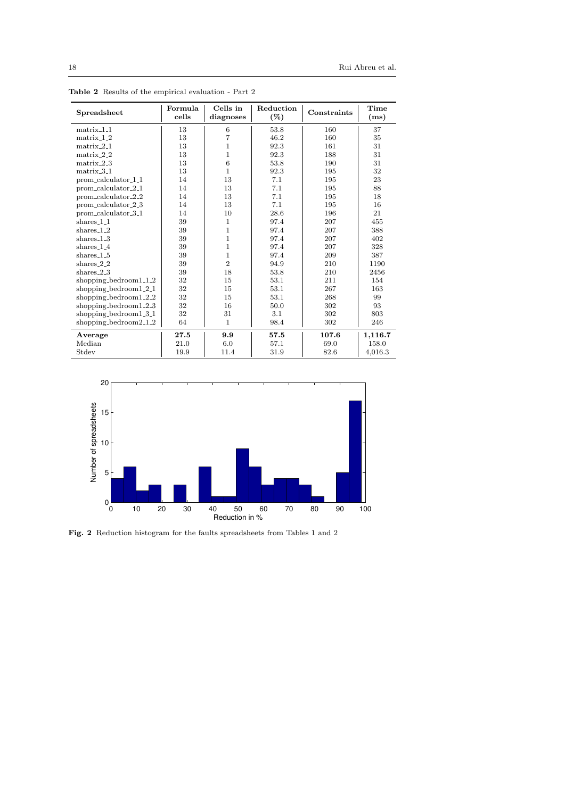| Spreadsheet              | Formula<br>cells | Cells in<br>diagnoses | Reduction<br>$(\%)$ | Constraints | Time<br>(ms) |
|--------------------------|------------------|-----------------------|---------------------|-------------|--------------|
| matrix <sub>-1-1</sub>   | 13               | 6                     | 53.8                | 160         | 37           |
| $matrix_1_2$             | 13               | $\overline{7}$        | 46.2                | 160         | 35           |
| $matrix_2$ -1            | 13               | $\mathbf{1}$          | 92.3                | 161         | 31           |
| $matrix_2_2$             | 13               | $\mathbf{1}$          | 92.3                | 188         | 31           |
| $matrix_2.3$             | 13               | 6                     | 53.8                | 190         | 31           |
| matrix <sub>-3-1</sub>   | 13               | $\mathbf{1}$          | 92.3                | 195         | 32           |
| prom_calculator_1_1      | 14               | 13                    | 7.1                 | 195         | 23           |
| prom_calculator_2_1      | 14               | 13                    | 7.1                 | 195         | 88           |
| prom_calculator_2_2      | 14               | 13                    | 7.1                 | 195         | 18           |
| prom_calculator_2_3      | 14               | 13                    | 7.1                 | 195         | 16           |
| prom_calculator_3_1      | 14               | 10                    | 28.6                | 196         | 21           |
| shares_1_1               | 39               | 1                     | 97.4                | 207         | 455          |
| shares $-1-2$            | 39               | $\mathbf{1}$          | 97.4                | 207         | 388          |
| shares $1.3$             | 39               | $\mathbf{1}$          | 97.4                | 207         | 402          |
| shares $1.4$             | 39               | $\mathbf{1}$          | 97.4                | 207         | 328          |
| $shares_1_5$             | 39               | $\mathbf 1$           | 97.4                | 209         | 387          |
| shares $2.2$             | 39               | $\overline{2}$        | 94.9                | 210         | 1190         |
| shares $2.3$             | 39               | 18                    | 53.8                | 210         | 2456         |
| shopping_bedroom1_1_2    | 32               | 15                    | 53.1                | 211         | 154          |
| shopping_bedroom $1.2.1$ | 32               | 15                    | 53.1                | 267         | 163          |
| shopping_bedroom1_2_2    | 32               | 15                    | 53.1                | 268         | 99           |
| shopping_bedroom $1.2.3$ | 32               | 16                    | 50.0                | 302         | 93           |
| shopping_bedroom $1.3.1$ | 32               | 31                    | 3.1                 | 302         | 803          |
| shopping_bedroom $2_12$  | 64               | 1                     | 98.4                | 302         | 246          |
| Average                  | 27.5             | 9.9                   | 57.5                | 107.6       | 1,116.7      |
| Median                   | 21.0             | 6.0                   | 57.1                | 69.0        | 158.0        |
| Stdev                    | 19.9             | 11.4                  | 31.9                | 82.6        | 4,016.3      |

Table 2 Results of the empirical evaluation - Part 2



Fig. 2 Reduction histogram for the faults spreadsheets from Tables 1 and 2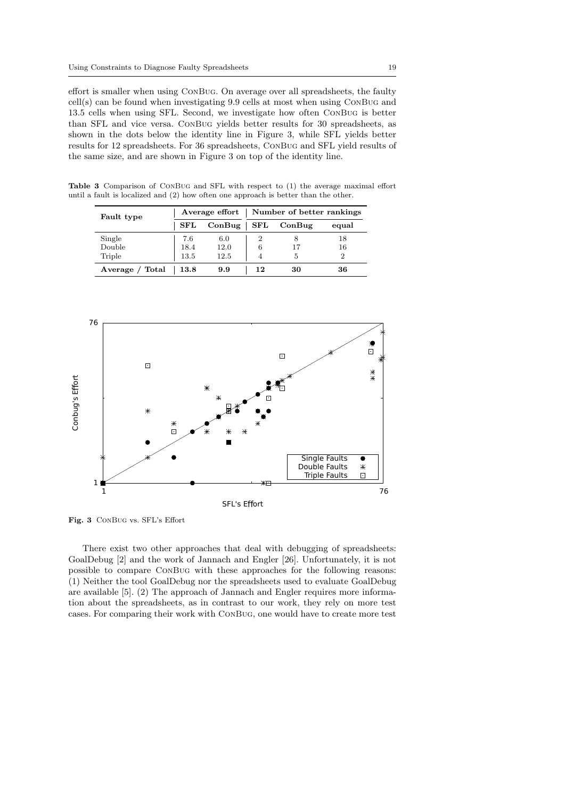effort is smaller when using ConBug. On average over all spreadsheets, the faulty cell(s) can be found when investigating 9.9 cells at most when using ConBug and 13.5 cells when using SFL. Second, we investigate how often ConBug is better than SFL and vice versa. ConBug yields better results for 30 spreadsheets, as shown in the dots below the identity line in Figure 3, while SFL yields better results for 12 spreadsheets. For 36 spreadsheets, ConBug and SFL yield results of the same size, and are shown in Figure 3 on top of the identity line.

Table 3 Comparison of ConBug and SFL with respect to (1) the average maximal effort until a fault is localized and (2) how often one approach is better than the other.

| Fault type      |             | Average effort $\vert$ | Number of better rankings |        |                |  |
|-----------------|-------------|------------------------|---------------------------|--------|----------------|--|
|                 | ${\bf SFL}$ | ConBug                 | ${\bf SFL}$               | ConBug | equal          |  |
| Single          | 7.6         | 6.0                    |                           |        | 18             |  |
| Double          | 18.4        | 12.0                   | 6                         | 17     | 16             |  |
| Triple          | 13.5        | 12.5                   |                           | 5      | $\overline{2}$ |  |
| Average / Total | 13.8        | 9.9                    | 12                        | 30     | 36             |  |



Fig. 3 ConBug vs. SFL's Effort

There exist two other approaches that deal with debugging of spreadsheets: GoalDebug [2] and the work of Jannach and Engler [26]. Unfortunately, it is not possible to compare ConBug with these approaches for the following reasons: (1) Neither the tool GoalDebug nor the spreadsheets used to evaluate GoalDebug are available [5]. (2) The approach of Jannach and Engler requires more information about the spreadsheets, as in contrast to our work, they rely on more test cases. For comparing their work with ConBug, one would have to create more test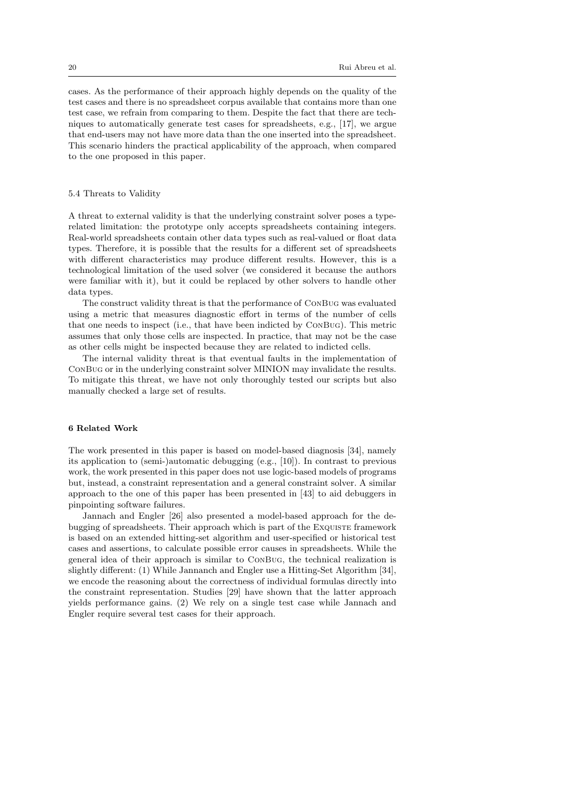cases. As the performance of their approach highly depends on the quality of the test cases and there is no spreadsheet corpus available that contains more than one test case, we refrain from comparing to them. Despite the fact that there are techniques to automatically generate test cases for spreadsheets, e.g., [17], we argue that end-users may not have more data than the one inserted into the spreadsheet. This scenario hinders the practical applicability of the approach, when compared to the one proposed in this paper.

## 5.4 Threats to Validity

A threat to external validity is that the underlying constraint solver poses a typerelated limitation: the prototype only accepts spreadsheets containing integers. Real-world spreadsheets contain other data types such as real-valued or float data types. Therefore, it is possible that the results for a different set of spreadsheets with different characteristics may produce different results. However, this is a technological limitation of the used solver (we considered it because the authors were familiar with it), but it could be replaced by other solvers to handle other data types.

The construct validity threat is that the performance of ConBug was evaluated using a metric that measures diagnostic effort in terms of the number of cells that one needs to inspect (i.e., that have been indicted by ConBug). This metric assumes that only those cells are inspected. In practice, that may not be the case as other cells might be inspected because they are related to indicted cells.

The internal validity threat is that eventual faults in the implementation of ConBug or in the underlying constraint solver MINION may invalidate the results. To mitigate this threat, we have not only thoroughly tested our scripts but also manually checked a large set of results.

### 6 Related Work

The work presented in this paper is based on model-based diagnosis [34], namely its application to (semi-)automatic debugging (e.g., [10]). In contrast to previous work, the work presented in this paper does not use logic-based models of programs but, instead, a constraint representation and a general constraint solver. A similar approach to the one of this paper has been presented in [43] to aid debuggers in pinpointing software failures.

Jannach and Engler [26] also presented a model-based approach for the debugging of spreadsheets. Their approach which is part of the Exquiste framework is based on an extended hitting-set algorithm and user-specified or historical test cases and assertions, to calculate possible error causes in spreadsheets. While the general idea of their approach is similar to ConBug, the technical realization is slightly different: (1) While Jannanch and Engler use a Hitting-Set Algorithm [34], we encode the reasoning about the correctness of individual formulas directly into the constraint representation. Studies [29] have shown that the latter approach yields performance gains. (2) We rely on a single test case while Jannach and Engler require several test cases for their approach.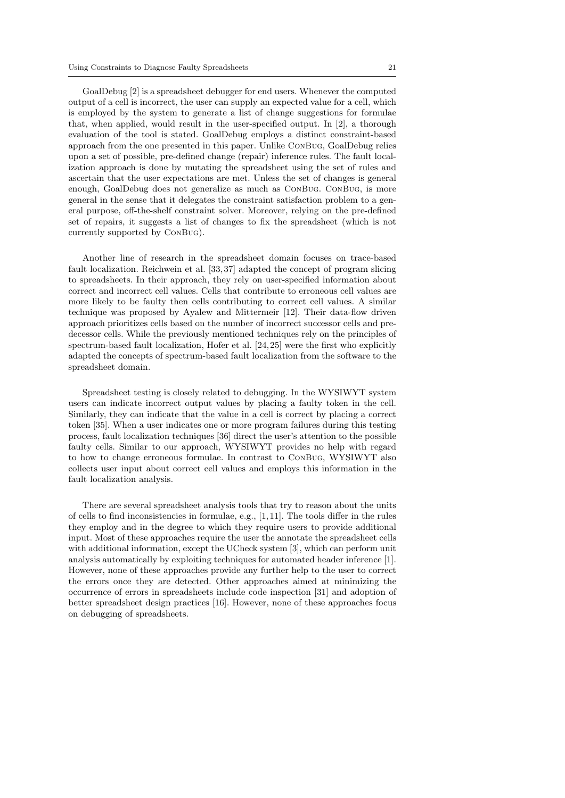GoalDebug [2] is a spreadsheet debugger for end users. Whenever the computed output of a cell is incorrect, the user can supply an expected value for a cell, which is employed by the system to generate a list of change suggestions for formulae that, when applied, would result in the user-specified output. In [2], a thorough evaluation of the tool is stated. GoalDebug employs a distinct constraint-based approach from the one presented in this paper. Unlike ConBug, GoalDebug relies upon a set of possible, pre-defined change (repair) inference rules. The fault localization approach is done by mutating the spreadsheet using the set of rules and ascertain that the user expectations are met. Unless the set of changes is general enough, GoalDebug does not generalize as much as ConBug. ConBug, is more general in the sense that it delegates the constraint satisfaction problem to a general purpose, off-the-shelf constraint solver. Moreover, relying on the pre-defined set of repairs, it suggests a list of changes to fix the spreadsheet (which is not currently supported by ConBug).

Another line of research in the spreadsheet domain focuses on trace-based fault localization. Reichwein et al. [33, 37] adapted the concept of program slicing to spreadsheets. In their approach, they rely on user-specified information about correct and incorrect cell values. Cells that contribute to erroneous cell values are more likely to be faulty then cells contributing to correct cell values. A similar technique was proposed by Ayalew and Mittermeir [12]. Their data-flow driven approach prioritizes cells based on the number of incorrect successor cells and predecessor cells. While the previously mentioned techniques rely on the principles of spectrum-based fault localization, Hofer et al. [24,25] were the first who explicitly adapted the concepts of spectrum-based fault localization from the software to the spreadsheet domain.

Spreadsheet testing is closely related to debugging. In the WYSIWYT system users can indicate incorrect output values by placing a faulty token in the cell. Similarly, they can indicate that the value in a cell is correct by placing a correct token [35]. When a user indicates one or more program failures during this testing process, fault localization techniques [36] direct the user's attention to the possible faulty cells. Similar to our approach, WYSIWYT provides no help with regard to how to change erroneous formulae. In contrast to ConBug, WYSIWYT also collects user input about correct cell values and employs this information in the fault localization analysis.

There are several spreadsheet analysis tools that try to reason about the units of cells to find inconsistencies in formulae, e.g., [1, 11]. The tools differ in the rules they employ and in the degree to which they require users to provide additional input. Most of these approaches require the user the annotate the spreadsheet cells with additional information, except the UCheck system [3], which can perform unit analysis automatically by exploiting techniques for automated header inference [1]. However, none of these approaches provide any further help to the user to correct the errors once they are detected. Other approaches aimed at minimizing the occurrence of errors in spreadsheets include code inspection [31] and adoption of better spreadsheet design practices [16]. However, none of these approaches focus on debugging of spreadsheets.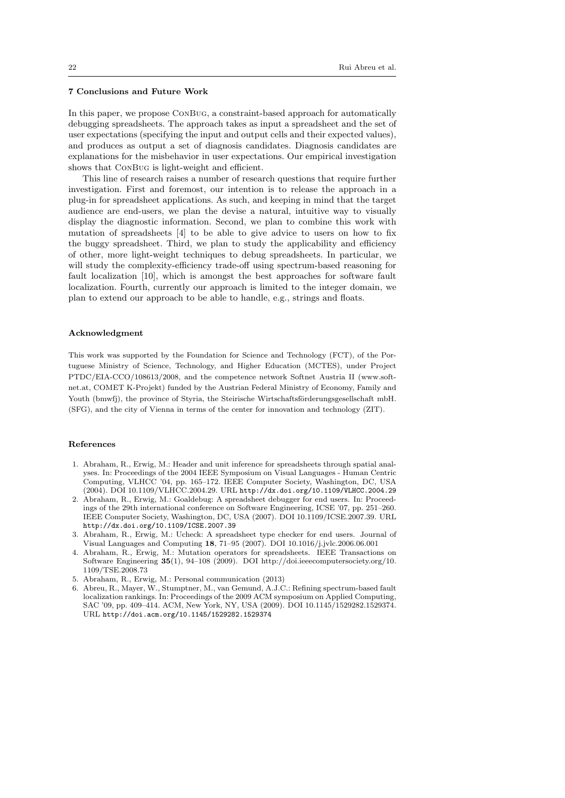## 7 Conclusions and Future Work

In this paper, we propose ConBug, a constraint-based approach for automatically debugging spreadsheets. The approach takes as input a spreadsheet and the set of user expectations (specifying the input and output cells and their expected values), and produces as output a set of diagnosis candidates. Diagnosis candidates are explanations for the misbehavior in user expectations. Our empirical investigation shows that ConBug is light-weight and efficient.

This line of research raises a number of research questions that require further investigation. First and foremost, our intention is to release the approach in a plug-in for spreadsheet applications. As such, and keeping in mind that the target audience are end-users, we plan the devise a natural, intuitive way to visually display the diagnostic information. Second, we plan to combine this work with mutation of spreadsheets [4] to be able to give advice to users on how to fix the buggy spreadsheet. Third, we plan to study the applicability and efficiency of other, more light-weight techniques to debug spreadsheets. In particular, we will study the complexity-efficiency trade-off using spectrum-based reasoning for fault localization [10], which is amongst the best approaches for software fault localization. Fourth, currently our approach is limited to the integer domain, we plan to extend our approach to be able to handle, e.g., strings and floats.

### Acknowledgment

This work was supported by the Foundation for Science and Technology (FCT), of the Portuguese Ministry of Science, Technology, and Higher Education (MCTES), under Project PTDC/EIA-CCO/108613/2008, and the competence network Softnet Austria II (www.softnet.at, COMET K-Projekt) funded by the Austrian Federal Ministry of Economy, Family and Youth (bmwfj), the province of Styria, the Steirische Wirtschaftsförderungsgesellschaft mbH. (SFG), and the city of Vienna in terms of the center for innovation and technology (ZIT).

#### References

- 1. Abraham, R., Erwig, M.: Header and unit inference for spreadsheets through spatial analyses. In: Proceedings of the 2004 IEEE Symposium on Visual Languages - Human Centric Computing, VLHCC '04, pp. 165–172. IEEE Computer Society, Washington, DC, USA (2004). DOI 10.1109/VLHCC.2004.29. URL http://dx.doi.org/10.1109/VLHCC.2004.29
- 2. Abraham, R., Erwig, M.: Goaldebug: A spreadsheet debugger for end users. In: Proceedings of the 29th international conference on Software Engineering, ICSE '07, pp. 251–260. IEEE Computer Society, Washington, DC, USA (2007). DOI 10.1109/ICSE.2007.39. URL http://dx.doi.org/10.1109/ICSE.2007.39
- 3. Abraham, R., Erwig, M.: Ucheck: A spreadsheet type checker for end users. Journal of Visual Languages and Computing 18, 71–95 (2007). DOI 10.1016/j.jvlc.2006.06.001
- 4. Abraham, R., Erwig, M.: Mutation operators for spreadsheets. IEEE Transactions on Software Engineering 35(1), 94–108 (2009). DOI http://doi.ieeecomputersociety.org/10. 1109/TSE.2008.73
- 5. Abraham, R., Erwig, M.: Personal communication (2013)
- 6. Abreu, R., Mayer, W., Stumptner, M., van Gemund, A.J.C.: Refining spectrum-based fault localization rankings. In: Proceedings of the 2009 ACM symposium on Applied Computing, SAC '09, pp. 409–414. ACM, New York, NY, USA (2009). DOI 10.1145/1529282.1529374. URL http://doi.acm.org/10.1145/1529282.1529374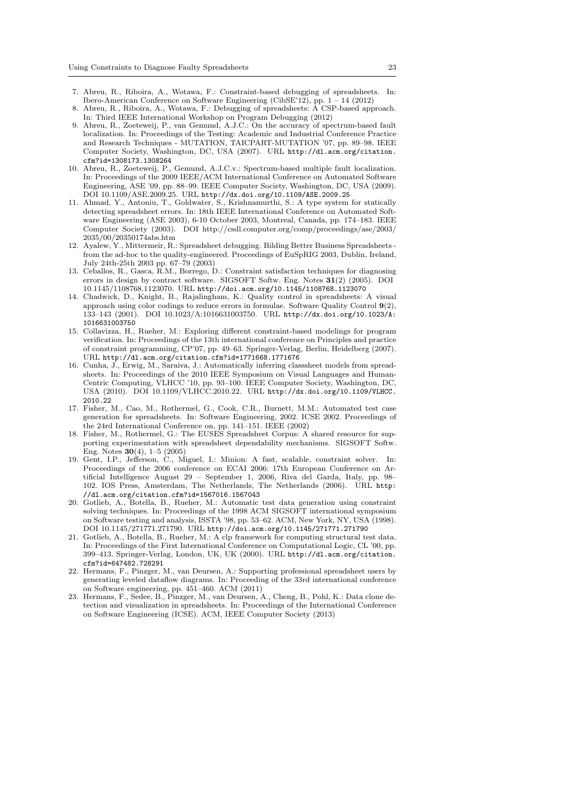- 7. Abreu, R., Riboira, A., Wotawa, F.: Constraint-based debugging of spreadsheets. In: Ibero-American Conference on Software Engineering (CibSE'12), pp. 1 – 14 (2012)
- 8. Abreu, R., Riboira, A., Wotawa, F.: Debugging of spreadsheets: A CSP-based approach. In: Third IEEE International Workshop on Program Debugging (2012)
- 9. Abreu, R., Zoeteweij, P., van Gemund, A.J.C.: On the accuracy of spectrum-based fault localization. In: Proceedings of the Testing: Academic and Industrial Conference Practice and Research Techniques - MUTATION, TAICPART-MUTATION '07, pp. 89–98. IEEE Computer Society, Washington, DC, USA (2007). URL http://dl.acm.org/citation. cfm?id=1308173.1308264
- 10. Abreu, R., Zoeteweij, P., Gemund, A.J.C.v.: Spectrum-based multiple fault localization. In: Proceedings of the 2009 IEEE/ACM International Conference on Automated Software Engineering, ASE '09, pp. 88–99. IEEE Computer Society, Washington, DC, USA (2009). DOI 10.1109/ASE.2009.25. URL http://dx.doi.org/10.1109/ASE.2009.25
- 11. Ahmad, Y., Antoniu, T., Goldwater, S., Krishnamurthi, S.: A type system for statically detecting spreadsheet errors. In: 18th IEEE International Conference on Automated Software Engineering (ASE 2003), 6-10 October 2003, Montreal, Canada, pp. 174–183. IEEE Computer Society (2003). DOI http://csdl.computer.org/comp/proceedings/ase/2003/ 2035/00/20350174abs.htm
- 12. Ayalew, Y., Mittermeir, R.: Spreadsheet debugging. Bilding Better Business Spreadsheets from the ad-hoc to the quality-engineered. Proceedings of EuSpRIG 2003, Dublin, Ireland, July 24th-25th 2003 pp. 67–79 (2003)
- 13. Ceballos, R., Gasca, R.M., Borrego, D.: Constraint satisfaction techniques for diagnosing errors in design by contract software. SIGSOFT Softw. Eng. Notes 31(2) (2005). DOI 10.1145/1108768.1123070. URL http://doi.acm.org/10.1145/1108768.1123070
- 14. Chadwick, D., Knight, B., Rajalingham, K.: Quality control in spreadsheets: A visual approach using color codings to reduce errors in formulae. Software Quality Control 9(2), 133–143 (2001). DOI 10.1023/A:1016631003750. URL http://dx.doi.org/10.1023/A: 1016631003750
- 15. Collavizza, H., Rueher, M.: Exploring different constraint-based modelings for program verification. In: Proceedings of the 13th international conference on Principles and practice of constraint programming, CP'07, pp. 49–63. Springer-Verlag, Berlin, Heidelberg (2007). URL http://dl.acm.org/citation.cfm?id=1771668.1771676
- 16. Cunha, J., Erwig, M., Saraiva, J.: Automatically inferring classsheet models from spreadsheets. In: Proceedings of the 2010 IEEE Symposium on Visual Languages and Human-Centric Computing, VLHCC '10, pp. 93–100. IEEE Computer Society, Washington, DC, USA (2010). DOI 10.1109/VLHCC.2010.22. URL http://dx.doi.org/10.1109/VLHCC. 2010.22
- 17. Fisher, M., Cao, M., Rothermel, G., Cook, C.R., Burnett, M.M.: Automated test case generation for spreadsheets. In: Software Engineering, 2002. ICSE 2002. Proceedings of the 24rd International Conference on, pp. 141–151. IEEE (2002)
- 18. Fisher, M., Rothermel, G.: The EUSES Spreadsheet Corpus: A shared resource for supporting experimentation with spreadsheet dependability mechanisms. SIGSOFT Softw. Eng. Notes 30(4), 1–5 (2005)
- 19. Gent, I.P., Jefferson, C., Miguel, I.: Minion: A fast, scalable, constraint solver. In: Proceedings of the 2006 conference on ECAI 2006: 17th European Conference on Artificial Intelligence August 29 – September 1, 2006, Riva del Garda, Italy, pp. 98– 102. IOS Press, Amsterdam, The Netherlands, The Netherlands (2006). URL http: //dl.acm.org/citation.cfm?id=1567016.1567043
- 20. Gotlieb, A., Botella, B., Rueher, M.: Automatic test data generation using constraint solving techniques. In: Proceedings of the 1998 ACM SIGSOFT international symposium on Software testing and analysis, ISSTA '98, pp. 53–62. ACM, New York, NY, USA (1998). DOI 10.1145/271771.271790. URL http://doi.acm.org/10.1145/271771.271790
- 21. Gotlieb, A., Botella, B., Rueher, M.: A clp framework for computing structural test data. In: Proceedings of the First International Conference on Computational Logic, CL '00, pp. 399–413. Springer-Verlag, London, UK, UK (2000). URL http://dl.acm.org/citation. cfm?id=647482.728291
- 22. Hermans, F., Pinzger, M., van Deursen, A.: Supporting professional spreadsheet users by generating leveled dataflow diagrams. In: Proceeding of the 33rd international conference on Software engineering, pp. 451–460. ACM (2011)
- 23. Hermans, F., Sedee, B., Pinzger, M., van Deursen, A., Cheng, B., Pohl, K.: Data clone detection and visualization in spreadsheets. In: Proceedings of the International Conference on Software Engineering (ICSE). ACM, IEEE Computer Society (2013)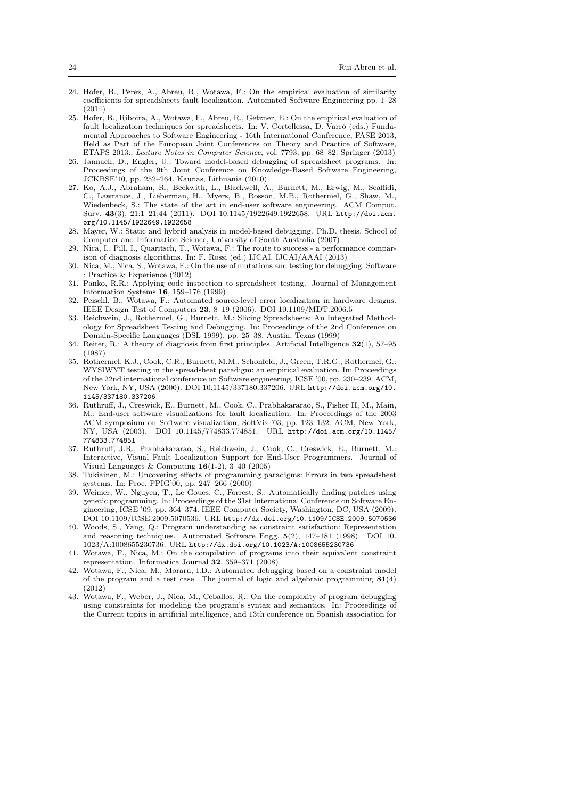- 24. Hofer, B., Perez, A., Abreu, R., Wotawa, F.: On the empirical evaluation of similarity coefficients for spreadsheets fault localization. Automated Software Engineering pp. 1–28 (2014)
- 25. Hofer, B., Riboira, A., Wotawa, F., Abreu, R., Getzner, E.: On the empirical evaluation of fault localization techniques for spreadsheets. In: V. Cortellessa, D. Varró (eds.) Fundamental Approaches to Software Engineering - 16th International Conference, FASE 2013, Held as Part of the European Joint Conferences on Theory and Practice of Software, ETAPS 2013., Lecture Notes in Computer Science, vol. 7793, pp. 68–82. Springer (2013)
- 26. Jannach, D., Engler, U.: Toward model-based debugging of spreadsheet programs. In: Proceedings of the 9th Joint Conference on Knowledge-Based Software Engineering, JCKBSE'10, pp. 252–264. Kaunas, Lithuania (2010)
- 27. Ko, A.J., Abraham, R., Beckwith, L., Blackwell, A., Burnett, M., Erwig, M., Scaffidi, C., Lawrance, J., Lieberman, H., Myers, B., Rosson, M.B., Rothermel, G., Shaw, M., Wiedenbeck, S.: The state of the art in end-user software engineering. ACM Comput. Surv. 43(3), 21:1–21:44 (2011). DOI 10.1145/1922649.1922658. URL http://doi.acm. org/10.1145/1922649.1922658
- 28. Mayer, W.: Static and hybrid analysis in model-based debugging. Ph.D. thesis, School of Computer and Information Science, University of South Australia (2007)
- 29. Nica, I., Pill, I., Quaritsch, T., Wotawa, F.: The route to success a performance comparison of diagnosis algorithms. In: F. Rossi (ed.) IJCAI. IJCAI/AAAI (2013)
- 30. Nica, M., Nica, S., Wotawa, F.: On the use of mutations and testing for debugging. Software : Practice & Experience (2012)
- 31. Panko, R.R.: Applying code inspection to spreadsheet testing. Journal of Management Information Systems 16, 159–176 (1999)
- 32. Peischl, B., Wotawa, F.: Automated source-level error localization in hardware designs. IEEE Design Test of Computers 23, 8–19 (2006). DOI 10.1109/MDT.2006.5
- 33. Reichwein, J., Rothermel, G., Burnett, M.: Slicing Spreadsheets: An Integrated Methodology for Spreadsheet Testing and Debugging. In: Proceedings of the 2nd Conference on Domain-Specific Languages (DSL 1999), pp. 25–38. Austin, Texas (1999)
- 34. Reiter, R.: A theory of diagnosis from first principles. Artificial Intelligence 32(1), 57–95 (1987)
- 35. Rothermel, K.J., Cook, C.R., Burnett, M.M., Schonfeld, J., Green, T.R.G., Rothermel, G.: WYSIWYT testing in the spreadsheet paradigm: an empirical evaluation. In: Proceedings of the 22nd international conference on Software engineering, ICSE '00, pp. 230–239. ACM, New York, NY, USA (2000). DOI 10.1145/337180.337206. URL http://doi.acm.org/10. 1145/337180.337206
- 36. Ruthruff, J., Creswick, E., Burnett, M., Cook, C., Prabhakararao, S., Fisher II, M., Main, M.: End-user software visualizations for fault localization. In: Proceedings of the 2003 ACM symposium on Software visualization, SoftVis '03, pp. 123–132. ACM, New York, NY, USA (2003). DOI 10.1145/774833.774851. URL http://doi.acm.org/10.1145/ 774833.774851
- 37. Ruthruff, J.R., Prabhakararao, S., Reichwein, J., Cook, C., Creswick, E., Burnett, M.: Interactive, Visual Fault Localization Support for End-User Programmers. Journal of Visual Languages & Computing  $16(1-2)$ , 3-40 (2005)
- 38. Tukiainen, M.: Uncovering effects of programming paradigms: Errors in two spreadsheet systems. In: Proc. PPIG'00, pp. 247–266 (2000)
- 39. Weimer, W., Nguyen, T., Le Goues, C., Forrest, S.: Automatically finding patches using genetic programming. In: Proceedings of the 31st International Conference on Software Engineering, ICSE '09, pp. 364–374. IEEE Computer Society, Washington, DC, USA (2009). DOI 10.1109/ICSE.2009.5070536. URL http://dx.doi.org/10.1109/ICSE.2009.5070536
- 40. Woods, S., Yang, Q.: Program understanding as constraint satisfaction: Representation and reasoning techniques. Automated Software Engg. 5(2), 147–181 (1998). DOI 10. 1023/A:1008655230736. URL http://dx.doi.org/10.1023/A:1008655230736
- 41. Wotawa, F., Nica, M.: On the compilation of programs into their equivalent constraint representation. Informatica Journal 32, 359–371 (2008)
- 42. Wotawa, F., Nica, M., Moraru, I.D.: Automated debugging based on a constraint model of the program and a test case. The journal of logic and algebraic programming  $81(4)$ (2012)
- 43. Wotawa, F., Weber, J., Nica, M., Ceballos, R.: On the complexity of program debugging using constraints for modeling the program's syntax and semantics. In: Proceedings of the Current topics in artificial intelligence, and 13th conference on Spanish association for